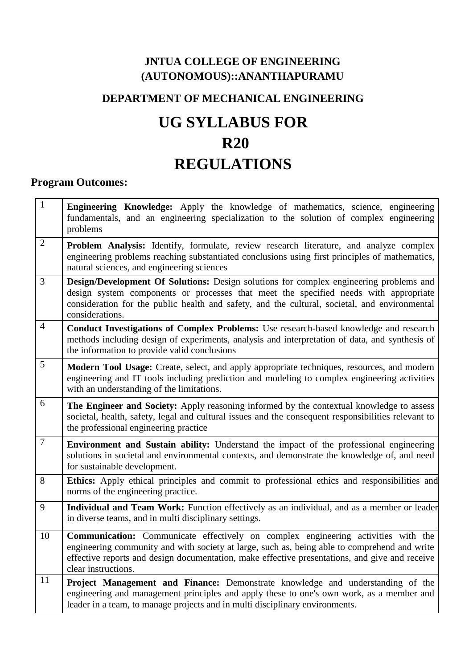# **JNTUA COLLEGE OF ENGINEERING (AUTONOMOUS)::ANANTHAPURAMU**

# **DEPARTMENT OF MECHANICAL ENGINEERING**

# **UG SYLLABUS FOR R20 REGULATIONS**

# **Program Outcomes:**

| $\mathbf{1}$     | Engineering Knowledge: Apply the knowledge of mathematics, science, engineering<br>fundamentals, and an engineering specialization to the solution of complex engineering<br>problems                                                                                                                             |
|------------------|-------------------------------------------------------------------------------------------------------------------------------------------------------------------------------------------------------------------------------------------------------------------------------------------------------------------|
| $\overline{2}$   | <b>Problem Analysis:</b> Identify, formulate, review research literature, and analyze complex<br>engineering problems reaching substantiated conclusions using first principles of mathematics,<br>natural sciences, and engineering sciences                                                                     |
| 3                | Design/Development Of Solutions: Design solutions for complex engineering problems and<br>design system components or processes that meet the specified needs with appropriate<br>consideration for the public health and safety, and the cultural, societal, and environmental<br>considerations.                |
| $\overline{4}$   | Conduct Investigations of Complex Problems: Use research-based knowledge and research<br>methods including design of experiments, analysis and interpretation of data, and synthesis of<br>the information to provide valid conclusions                                                                           |
| 5                | Modern Tool Usage: Create, select, and apply appropriate techniques, resources, and modern<br>engineering and IT tools including prediction and modeling to complex engineering activities<br>with an understanding of the limitations.                                                                           |
| 6                | The Engineer and Society: Apply reasoning informed by the contextual knowledge to assess<br>societal, health, safety, legal and cultural issues and the consequent responsibilities relevant to<br>the professional engineering practice                                                                          |
| $\boldsymbol{7}$ | <b>Environment and Sustain ability:</b> Understand the impact of the professional engineering<br>solutions in societal and environmental contexts, and demonstrate the knowledge of, and need<br>for sustainable development.                                                                                     |
| 8                | Ethics: Apply ethical principles and commit to professional ethics and responsibilities and<br>norms of the engineering practice.                                                                                                                                                                                 |
| 9                | Individual and Team Work: Function effectively as an individual, and as a member or leader<br>in diverse teams, and in multi disciplinary settings.                                                                                                                                                               |
| 10               | <b>Communication:</b> Communicate effectively on complex engineering activities with the<br>engineering community and with society at large, such as, being able to comprehend and write<br>effective reports and design documentation, make effective presentations, and give and receive<br>clear instructions. |
| 11               | <b>Project Management and Finance:</b> Demonstrate knowledge and understanding of the<br>engineering and management principles and apply these to one's own work, as a member and<br>leader in a team, to manage projects and in multi disciplinary environments.                                                 |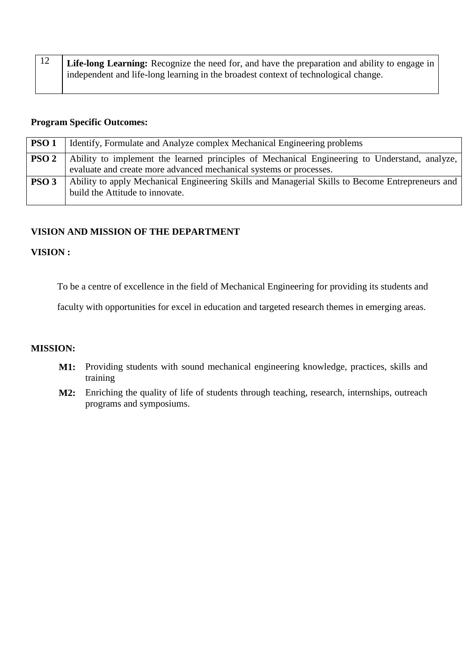| $\mid$ 12 | Life-long Learning: Recognize the need for, and have the preparation and ability to engage in |
|-----------|-----------------------------------------------------------------------------------------------|
|           | independent and life-long learning in the broadest context of technological change.           |

#### **Program Specific Outcomes:**

| PSO <sub>1</sub> | Identify, Formulate and Analyze complex Mechanical Engineering problems                                                                                             |
|------------------|---------------------------------------------------------------------------------------------------------------------------------------------------------------------|
| PSO <sub>2</sub> | Ability to implement the learned principles of Mechanical Engineering to Understand, analyze,<br>evaluate and create more advanced mechanical systems or processes. |
| PSO <sub>3</sub> | Ability to apply Mechanical Engineering Skills and Managerial Skills to Become Entrepreneurs and<br>build the Attitude to innovate.                                 |

# **VISION AND MISSION OF THE DEPARTMENT**

# **VISION :**

To be a centre of excellence in the field of Mechanical Engineering for providing its students and

faculty with opportunities for excel in education and targeted research themes in emerging areas.

#### **MISSION:**

- **M1:** Providing students with sound mechanical engineering knowledge, practices, skills and training
- **M2:** Enriching the quality of life of students through teaching, research, internships, outreach programs and symposiums.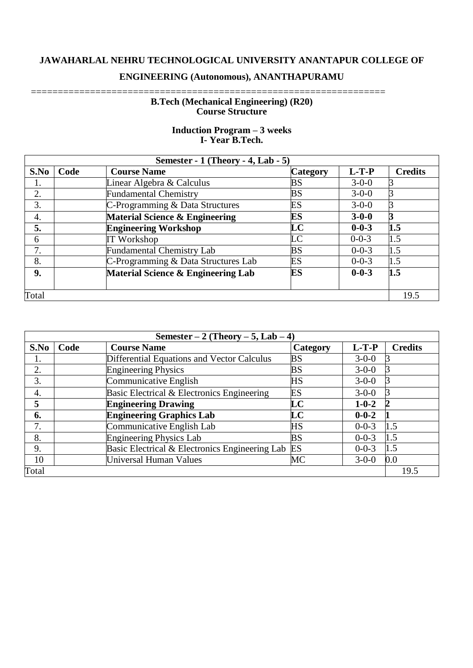# **JAWAHARLAL NEHRU TECHNOLOGICAL UNIVERSITY ANANTAPUR COLLEGE OF**

# **ENGINEERING (Autonomous), ANANTHAPURAMU**

#### ================================================================== **B.Tech (Mechanical Engineering) (R20) Course Structure**

| Semester - $1$ (Theory - 4, Lab - 5) |      |                                           |                 |             |                |  |  |  |  |  |  |
|--------------------------------------|------|-------------------------------------------|-----------------|-------------|----------------|--|--|--|--|--|--|
| S.No                                 | Code | <b>Course Name</b>                        | <b>Category</b> | $L-T-P$     | <b>Credits</b> |  |  |  |  |  |  |
| 1.                                   |      | Linear Algebra & Calculus                 | BS              | $3 - 0 - 0$ |                |  |  |  |  |  |  |
| 2.                                   |      | <b>Fundamental Chemistry</b>              | <b>BS</b>       | $3 - 0 - 0$ |                |  |  |  |  |  |  |
| 3.                                   |      | C-Programming & Data Structures           | ES              | $3 - 0 - 0$ |                |  |  |  |  |  |  |
| 4.                                   |      | <b>Material Science &amp; Engineering</b> | <b>ES</b>       | $3 - 0 - 0$ |                |  |  |  |  |  |  |
| 5.                                   |      | <b>Engineering Workshop</b>               | LC              | $0 - 0 - 3$ | 1.5            |  |  |  |  |  |  |
| 6                                    |      | <b>IT Workshop</b>                        | LC              | $0 - 0 - 3$ | 1.5            |  |  |  |  |  |  |
| 7.                                   |      | <b>Fundamental Chemistry Lab</b>          | <b>BS</b>       | $0 - 0 - 3$ | 1.5            |  |  |  |  |  |  |
| 8.                                   |      | C-Programming & Data Structures Lab       | ES              | $0 - 0 - 3$ | 1.5            |  |  |  |  |  |  |
| 9.                                   |      | Material Science & Engineering Lab        | ES              | $0 - 0 - 3$ | 1.5            |  |  |  |  |  |  |
| Total                                |      |                                           |                 |             |                |  |  |  |  |  |  |

# **Induction Program – 3 weeks I- Year B.Tech.**

| Semester $-2$ (Theory $-5$ , Lab $-4$ ) |      |                                                   |           |             |                |  |  |  |  |  |  |
|-----------------------------------------|------|---------------------------------------------------|-----------|-------------|----------------|--|--|--|--|--|--|
| S.No                                    | Code | <b>Course Name</b>                                | Category  | $L-T-P$     | <b>Credits</b> |  |  |  |  |  |  |
| I.                                      |      | <b>Differential Equations and Vector Calculus</b> | <b>BS</b> | $3 - 0 - 0$ |                |  |  |  |  |  |  |
| 2.                                      |      | <b>Engineering Physics</b>                        | <b>BS</b> | $3 - 0 - 0$ |                |  |  |  |  |  |  |
| 3.                                      |      | Communicative English                             | HS        | $3 - 0 - 0$ |                |  |  |  |  |  |  |
| 4.                                      |      | Basic Electrical & Electronics Engineering        | ES        | $3 - 0 - 0$ |                |  |  |  |  |  |  |
| 5                                       |      | <b>Engineering Drawing</b>                        | LC        | $1 - 0 - 2$ |                |  |  |  |  |  |  |
| 6.                                      |      | <b>Engineering Graphics Lab</b>                   | LC        | $0 - 0 - 2$ |                |  |  |  |  |  |  |
| 7.                                      |      | Communicative English Lab                         | HS        | $0 - 0 - 3$ | 1.5            |  |  |  |  |  |  |
| 8.                                      |      | <b>Engineering Physics Lab</b>                    | <b>BS</b> | $0 - 0 - 3$ | 1.5            |  |  |  |  |  |  |
| 9.                                      |      | Basic Electrical & Electronics Engineering Lab    | ES        | $0 - 0 - 3$ | 1.5            |  |  |  |  |  |  |
| 10                                      |      | <b>Universal Human Values</b>                     | MC        | $3 - 0 - 0$ | 0.0            |  |  |  |  |  |  |
| Total                                   |      |                                                   |           |             | 19.5           |  |  |  |  |  |  |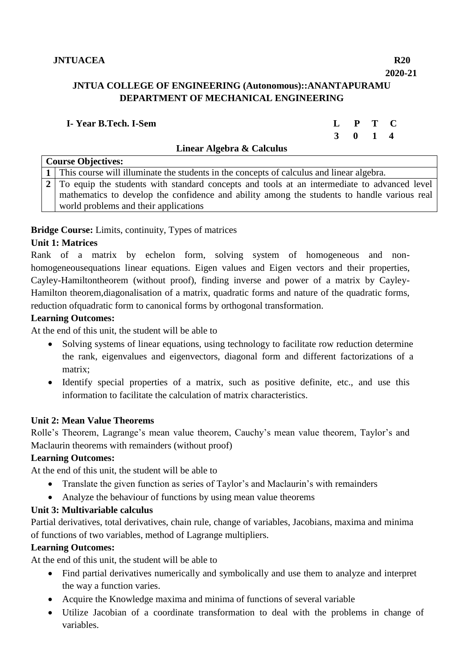#### **2020-21 JNTUA COLLEGE OF ENGINEERING (Autonomous)::ANANTAPURAMU**

# **DEPARTMENT OF MECHANICAL ENGINEERING**

| I-Year B.Tech. I-Sem |                           | L P T C |  |
|----------------------|---------------------------|---------|--|
|                      |                           | 3 0 1 4 |  |
|                      | Linear Algebra & Calculus |         |  |

| <b>Course Objectives:</b>                                                                     |  |  |  |  |  |  |  |  |  |  |  |
|-----------------------------------------------------------------------------------------------|--|--|--|--|--|--|--|--|--|--|--|
| 1   This course will illuminate the students in the concepts of calculus and linear algebra.  |  |  |  |  |  |  |  |  |  |  |  |
| 2 To equip the students with standard concepts and tools at an intermediate to advanced level |  |  |  |  |  |  |  |  |  |  |  |
| mathematics to develop the confidence and ability among the students to handle various real   |  |  |  |  |  |  |  |  |  |  |  |
| world problems and their applications                                                         |  |  |  |  |  |  |  |  |  |  |  |

# **Bridge Course:** Limits, continuity, Types of matrices

# **Unit 1: Matrices**

Rank of a matrix by echelon form, solving system of homogeneous and nonhomogeneousequations linear equations. Eigen values and Eigen vectors and their properties, Cayley-Hamiltontheorem (without proof), finding inverse and power of a matrix by Cayley-Hamilton theorem,diagonalisation of a matrix, quadratic forms and nature of the quadratic forms, reduction ofquadratic form to canonical forms by orthogonal transformation.

# **Learning Outcomes:**

At the end of this unit, the student will be able to

- Solving systems of linear equations, using technology to facilitate row reduction determine the rank, eigenvalues and eigenvectors, diagonal form and different factorizations of a matrix;
- Identify special properties of a matrix, such as positive definite, etc., and use this information to facilitate the calculation of matrix characteristics.

#### **Unit 2: Mean Value Theorems**

Rolle's Theorem, Lagrange's mean value theorem, Cauchy's mean value theorem, Taylor's and Maclaurin theorems with remainders (without proof)

# **Learning Outcomes:**

At the end of this unit, the student will be able to

- Translate the given function as series of Taylor's and Maclaurin's with remainders
- Analyze the behaviour of functions by using mean value theorems

#### **Unit 3: Multivariable calculus**

Partial derivatives, total derivatives, chain rule, change of variables, Jacobians, maxima and minima of functions of two variables, method of Lagrange multipliers.

#### **Learning Outcomes:**

At the end of this unit, the student will be able to

- Find partial derivatives numerically and symbolically and use them to analyze and interpret the way a function varies.
- Acquire the Knowledge maxima and minima of functions of several variable
- Utilize Jacobian of a coordinate transformation to deal with the problems in change of variables.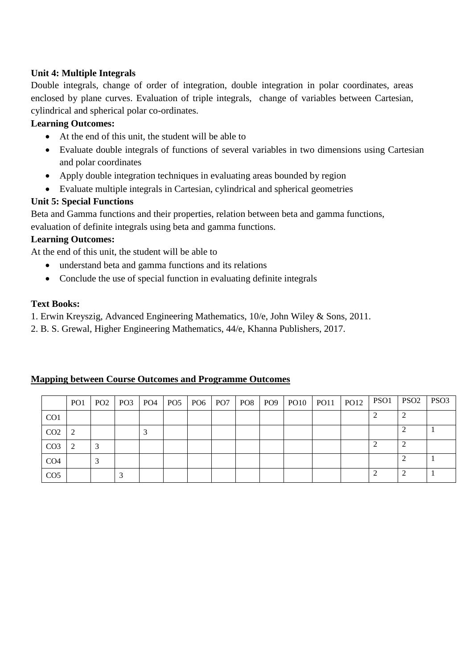# **Unit 4: Multiple Integrals**

Double integrals, change of order of integration, double integration in polar coordinates, areas enclosed by plane curves. Evaluation of triple integrals, change of variables between Cartesian, cylindrical and spherical polar co-ordinates.

# **Learning Outcomes:**

- At the end of this unit, the student will be able to
- Evaluate double integrals of functions of several variables in two dimensions using Cartesian and polar coordinates
- Apply double integration techniques in evaluating areas bounded by region
- Evaluate multiple integrals in Cartesian, cylindrical and spherical geometries

# **Unit 5: Special Functions**

Beta and Gamma functions and their properties, relation between beta and gamma functions, evaluation of definite integrals using beta and gamma functions.

# **Learning Outcomes:**

At the end of this unit, the student will be able to

- understand beta and gamma functions and its relations
- Conclude the use of special function in evaluating definite integrals

# **Text Books:**

1. Erwin Kreyszig, Advanced Engineering Mathematics, 10/e, John Wiley & Sons, 2011.

2. B. S. Grewal, Higher Engineering Mathematics, 44/e, Khanna Publishers, 2017.

|                 | PO <sub>1</sub> | PO <sub>2</sub> PO <sub>3</sub> | PO4 | PO <sub>5</sub> | PO <sub>6</sub> | PO <sub>7</sub> | $PO8$ $PO9$ | PO10 | <b>PO11</b> | <b>PO12</b> | PSO <sub>1</sub> | PSO <sub>2</sub> | PSO <sub>3</sub> |
|-----------------|-----------------|---------------------------------|-----|-----------------|-----------------|-----------------|-------------|------|-------------|-------------|------------------|------------------|------------------|
| CO <sub>1</sub> |                 |                                 |     |                 |                 |                 |             |      |             |             |                  |                  |                  |
| CO <sub>2</sub> |                 |                                 |     |                 |                 |                 |             |      |             |             |                  |                  |                  |
| CO <sub>3</sub> |                 |                                 |     |                 |                 |                 |             |      |             |             |                  |                  |                  |
| CO <sub>4</sub> |                 |                                 |     |                 |                 |                 |             |      |             |             |                  |                  |                  |
| CO <sub>5</sub> |                 |                                 |     |                 |                 |                 |             |      |             |             |                  |                  |                  |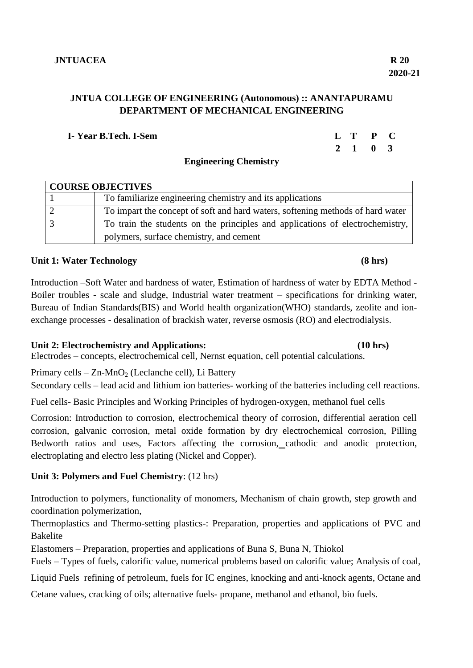# **JNTUA COLLEGE OF ENGINEERING (Autonomous) :: ANANTAPURAMU DEPARTMENT OF MECHANICAL ENGINEERING**

## **I- Year B.Tech. I-Sem L T P C**

# **Engineering Chemistry**

| <b>COURSE OBJECTIVES</b> |                                                                                |  |  |  |  |  |  |  |  |
|--------------------------|--------------------------------------------------------------------------------|--|--|--|--|--|--|--|--|
|                          | To familiarize engineering chemistry and its applications                      |  |  |  |  |  |  |  |  |
|                          | To impart the concept of soft and hard waters, softening methods of hard water |  |  |  |  |  |  |  |  |
|                          | To train the students on the principles and applications of electrochemistry,  |  |  |  |  |  |  |  |  |
|                          | polymers, surface chemistry, and cement                                        |  |  |  |  |  |  |  |  |

# **Unit 1: Water Technology (8 hrs)**

Introduction –Soft Water and hardness of water, Estimation of hardness of water by EDTA Method - Boiler troubles **-** scale and sludge, Industrial water treatment – specifications for drinking water, Bureau of Indian Standards(BIS) and World health organization(WHO) standards, zeolite and ionexchange processes - desalination of brackish water, reverse osmosis (RO) and electrodialysis.

# **Unit 2: Electrochemistry and Applications: (10 hrs)**

Electrodes – concepts, electrochemical cell, Nernst equation, cell potential calculations.

Primary cells –  $Zn-MnO<sub>2</sub>$  (Leclanche cell), Li Battery

Secondary cells – lead acid and lithium ion batteries- working of the batteries including cell reactions.

Fuel cells- Basic Principles and Working Principles of hydrogen-oxygen, methanol fuel cells

Corrosion: Introduction to corrosion, electrochemical theory of corrosion, differential aeration cell corrosion, galvanic corrosion, metal oxide formation by dry electrochemical corrosion, Pilling Bedworth ratios and uses, Factors affecting the corrosion, cathodic and anodic protection, electroplating and electro less plating (Nickel and Copper).

# **Unit 3: Polymers and Fuel Chemistry**: (12 hrs)

Introduction to polymers, functionality of monomers, Mechanism of chain growth, step growth and coordination polymerization,

Thermoplastics and Thermo-setting plastics-: Preparation, properties and applications of PVC and Bakelite

Elastomers – Preparation, properties and applications of Buna S, Buna N, Thiokol

Fuels – Types of fuels, calorific value, numerical problems based on calorific value; Analysis of coal,

Liquid Fuels refining of petroleum, fuels for IC engines, knocking and anti-knock agents, Octane and

Cetane values, cracking of oils; alternative fuels- propane, methanol and ethanol, bio fuels.

# **2 1 0 3**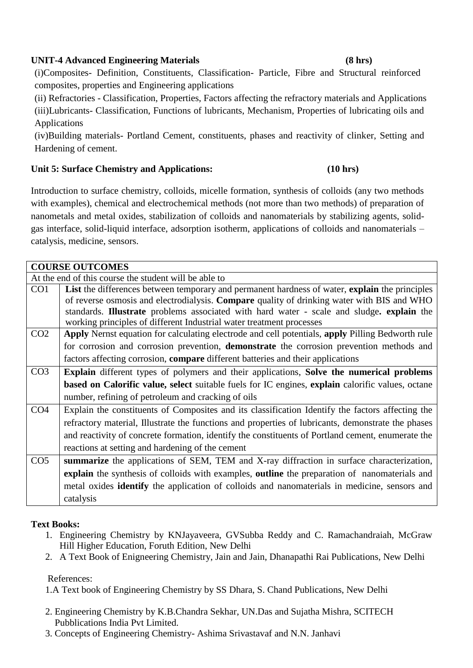# **UNIT-4 Advanced Engineering Materials (8 hrs)**

(i)Composites- Definition, Constituents, Classification- Particle, Fibre and Structural reinforced composites, properties and Engineering applications

(ii) Refractories - Classification, Properties, Factors affecting the refractory materials and Applications (iii)Lubricants- Classification, Functions of lubricants, Mechanism, Properties of lubricating oils and Applications

(iv)Building materials- Portland Cement, constituents, phases and reactivity of clinker, Setting and Hardening of cement.

# **Unit 5: Surface Chemistry and Applications: (10 hrs)**

Introduction to surface chemistry, colloids, micelle formation, synthesis of colloids (any two methods with examples), chemical and electrochemical methods (not more than two methods) of preparation of nanometals and metal oxides, stabilization of colloids and nanomaterials by stabilizing agents, solidgas interface, solid-liquid interface, adsorption isotherm, applications of colloids and nanomaterials – catalysis, medicine, sensors.

|                 | <b>COURSE OUTCOMES</b>                                                                                         |
|-----------------|----------------------------------------------------------------------------------------------------------------|
|                 | At the end of this course the student will be able to                                                          |
| CO1             | List the differences between temporary and permanent hardness of water, explain the principles                 |
|                 | of reverse osmosis and electrodialysis. Compare quality of drinking water with BIS and WHO                     |
|                 | standards. <b>Illustrate</b> problems associated with hard water - scale and sludge. <b>explain</b> the        |
|                 | working principles of different Industrial water treatment processes                                           |
| CO <sub>2</sub> | Apply Nernst equation for calculating electrode and cell potentials, apply Pilling Bedworth rule               |
|                 | for corrosion and corrosion prevention, demonstrate the corrosion prevention methods and                       |
|                 | factors affecting corrosion, compare different batteries and their applications                                |
| CO <sub>3</sub> | <b>Explain</b> different types of polymers and their applications, Solve the numerical problems                |
|                 | <b>based on Calorific value, select</b> suitable fuels for IC engines, <b>explain</b> calorific values, octane |
|                 | number, refining of petroleum and cracking of oils                                                             |
| CO <sub>4</sub> | Explain the constituents of Composites and its classification Identify the factors affecting the               |
|                 | refractory material, Illustrate the functions and properties of lubricants, demonstrate the phases             |
|                 | and reactivity of concrete formation, identify the constituents of Portland cement, enumerate the              |
|                 | reactions at setting and hardening of the cement                                                               |
| CO <sub>5</sub> | summarize the applications of SEM, TEM and X-ray diffraction in surface characterization,                      |
|                 | explain the synthesis of colloids with examples, outline the preparation of nanomaterials and                  |
|                 | metal oxides <b>identify</b> the application of colloids and nanomaterials in medicine, sensors and            |

# **Text Books:**

- 1. Engineering Chemistry by KNJayaveera, GVSubba Reddy and C. Ramachandraiah, McGraw Hill Higher Education, Foruth Edition, New Delhi
- 2. A Text Book of Enigneering Chemistry, Jain and Jain, Dhanapathi Rai Publications, New Delhi

#### References:

catalysis

1.A Text book of Engineering Chemistry by SS Dhara, S. Chand Publications, New Delhi

- 2. Engineering Chemistry by K.B.Chandra Sekhar, UN.Das and Sujatha Mishra, SCITECH Pubblications India Pvt Limited.
- 3. Concepts of Engineering Chemistry- Ashima Srivastavaf and N.N. Janhavi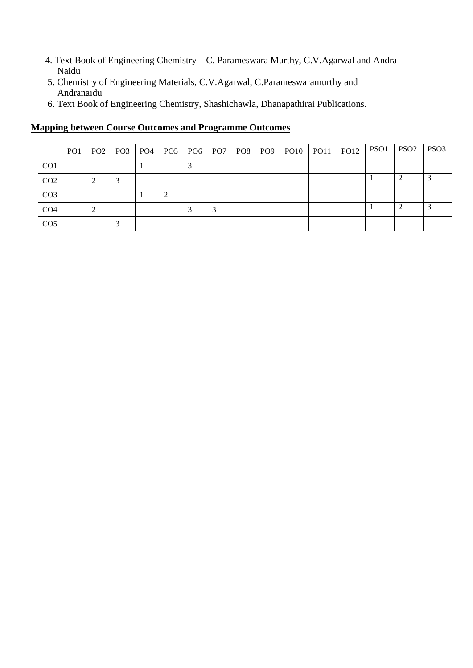- 4. Text Book of Engineering Chemistry C. Parameswara Murthy, C.V.Agarwal and Andra Naidu
- 5. Chemistry of Engineering Materials, C.V.Agarwal, C.Parameswaramurthy and Andranaidu
- 6. Text Book of Engineering Chemistry, Shashichawla, Dhanapathirai Publications.

|                 | PO <sub>1</sub> | PO2   PO3   PO4 | PO <sub>5</sub> |  | PO6   PO7   PO8   PO9 |  | $PO10$ $PO11$ | <b>PO12</b> | PSO1 | PSO <sub>2</sub> | PSO <sub>3</sub> |
|-----------------|-----------------|-----------------|-----------------|--|-----------------------|--|---------------|-------------|------|------------------|------------------|
| CO <sub>1</sub> |                 |                 |                 |  |                       |  |               |             |      |                  |                  |
| CO <sub>2</sub> |                 |                 |                 |  |                       |  |               |             |      |                  |                  |
| CO <sub>3</sub> |                 |                 |                 |  |                       |  |               |             |      |                  |                  |
| CO <sub>4</sub> |                 |                 |                 |  |                       |  |               |             |      |                  |                  |
| CO <sub>5</sub> |                 |                 |                 |  |                       |  |               |             |      |                  |                  |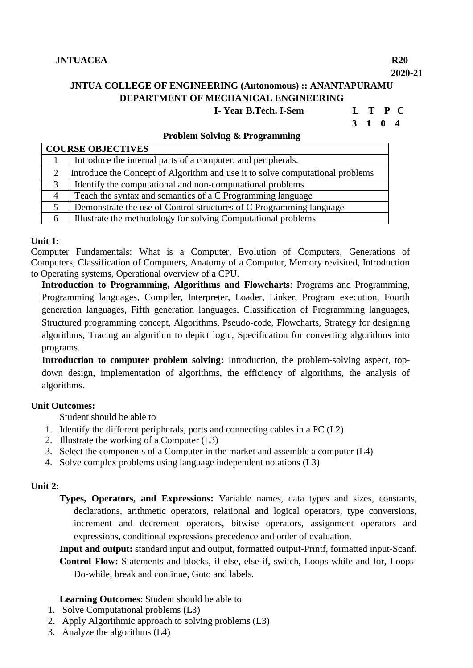# **JNTUA COLLEGE OF ENGINEERING (Autonomous) :: ANANTAPURAMU DEPARTMENT OF MECHANICAL ENGINEERING**

 **I- Year B.Tech. I-Sem L T P C**

# **3 1 0 4**

|        | <b>COURSE OBJECTIVES</b>                                                      |  |  |  |  |  |  |  |  |  |  |
|--------|-------------------------------------------------------------------------------|--|--|--|--|--|--|--|--|--|--|
|        | Introduce the internal parts of a computer, and peripherals.                  |  |  |  |  |  |  |  |  |  |  |
|        | Introduce the Concept of Algorithm and use it to solve computational problems |  |  |  |  |  |  |  |  |  |  |
| 3      | Identify the computational and non-computational problems                     |  |  |  |  |  |  |  |  |  |  |
| 4      | Teach the syntax and semantics of a C Programming language                    |  |  |  |  |  |  |  |  |  |  |
| $\leq$ | Demonstrate the use of Control structures of C Programming language           |  |  |  |  |  |  |  |  |  |  |
|        | Illustrate the methodology for solving Computational problems                 |  |  |  |  |  |  |  |  |  |  |

#### **Unit 1:**

Computer Fundamentals: What is a Computer, Evolution of Computers, Generations of Computers, Classification of Computers, Anatomy of a Computer, Memory revisited, Introduction to Operating systems, Operational overview of a CPU.

**Introduction to Programming, Algorithms and Flowcharts**: Programs and Programming, Programming languages, Compiler, Interpreter, Loader, Linker, Program execution, Fourth generation languages, Fifth generation languages, Classification of Programming languages, Structured programming concept, Algorithms, Pseudo-code, Flowcharts, Strategy for designing algorithms, Tracing an algorithm to depict logic, Specification for converting algorithms into programs.

**Introduction to computer problem solving:** Introduction, the problem-solving aspect, topdown design, implementation of algorithms, the efficiency of algorithms, the analysis of algorithms.

# **Unit Outcomes:**

Student should be able to

- 1. Identify the different peripherals, ports and connecting cables in a PC (L2)
- 2. Illustrate the working of a Computer (L3)
- 3. Select the components of a Computer in the market and assemble a computer (L4)
- 4. Solve complex problems using language independent notations (L3)

#### **Unit 2:**

**Types, Operators, and Expressions:** Variable names, data types and sizes, constants, declarations, arithmetic operators, relational and logical operators, type conversions, increment and decrement operators, bitwise operators, assignment operators and expressions, conditional expressions precedence and order of evaluation.

**Input and output:** standard input and output, formatted output-Printf, formatted input-Scanf. **Control Flow:** Statements and blocks, if-else, else-if, switch, Loops-while and for, Loops-Do-while, break and continue, Goto and labels.

**Learning Outcomes**: Student should be able to

- 1. Solve Computational problems (L3)
- 2. Apply Algorithmic approach to solving problems (L3)
- 3. Analyze the algorithms (L4)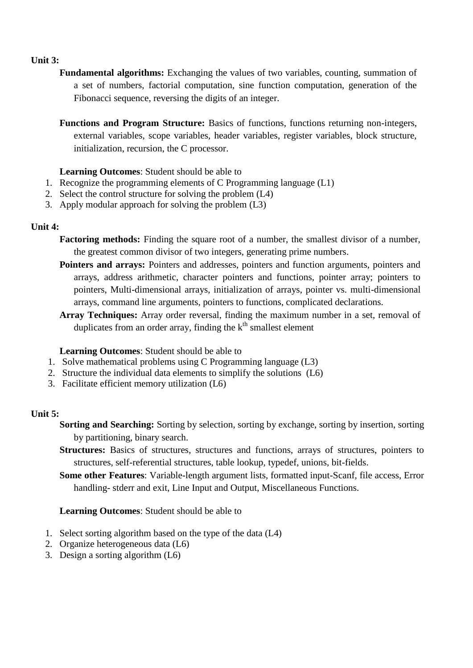# **Unit 3:**

**Fundamental algorithms:** Exchanging the values of two variables, counting, summation of a set of numbers, factorial computation, sine function computation, generation of the Fibonacci sequence, reversing the digits of an integer.

**Functions and Program Structure:** Basics of functions, functions returning non-integers, external variables, scope variables, header variables, register variables, block structure, initialization, recursion, the C processor.

# **Learning Outcomes**: Student should be able to

- 1. Recognize the programming elements of C Programming language (L1)
- 2. Select the control structure for solving the problem (L4)
- 3. Apply modular approach for solving the problem (L3)

# **Unit 4:**

- **Factoring methods:** Finding the square root of a number, the smallest divisor of a number, the greatest common divisor of two integers, generating prime numbers.
- Pointers and arrays: Pointers and addresses, pointers and function arguments, pointers and arrays, address arithmetic, character pointers and functions, pointer array; pointers to pointers, Multi-dimensional arrays, initialization of arrays, pointer vs. multi-dimensional arrays, command line arguments, pointers to functions, complicated declarations.
- **Array Techniques:** Array order reversal, finding the maximum number in a set, removal of duplicates from an order array, finding the  $k<sup>th</sup>$  smallest element

# **Learning Outcomes**: Student should be able to

- 1. Solve mathematical problems using C Programming language (L3)
- 2. Structure the individual data elements to simplify the solutions (L6)
- 3. Facilitate efficient memory utilization (L6)

# **Unit 5:**

- **Sorting and Searching:** Sorting by selection, sorting by exchange, sorting by insertion, sorting by partitioning, binary search.
- **Structures:** Basics of structures, structures and functions, arrays of structures, pointers to structures, self-referential structures, table lookup, typedef, unions, bit-fields.
- **Some other Features**: Variable-length argument lists, formatted input-Scanf, file access, Error handling- stderr and exit, Line Input and Output, Miscellaneous Functions.

#### **Learning Outcomes**: Student should be able to

- 1. Select sorting algorithm based on the type of the data (L4)
- 2. Organize heterogeneous data (L6)
- 3. Design a sorting algorithm (L6)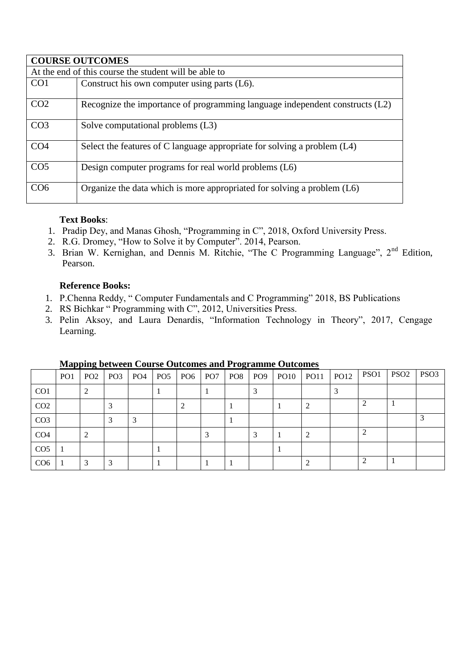|                                                       | <b>COURSE OUTCOMES</b>                                                       |  |  |  |  |  |  |  |  |  |
|-------------------------------------------------------|------------------------------------------------------------------------------|--|--|--|--|--|--|--|--|--|
| At the end of this course the student will be able to |                                                                              |  |  |  |  |  |  |  |  |  |
| CO <sub>1</sub>                                       | Construct his own computer using parts (L6).                                 |  |  |  |  |  |  |  |  |  |
| CO <sub>2</sub>                                       | Recognize the importance of programming language independent constructs (L2) |  |  |  |  |  |  |  |  |  |
| CO <sub>3</sub>                                       | Solve computational problems (L3)                                            |  |  |  |  |  |  |  |  |  |
| CO <sub>4</sub>                                       | Select the features of C language appropriate for solving a problem (L4)     |  |  |  |  |  |  |  |  |  |
| CO <sub>5</sub>                                       | Design computer programs for real world problems (L6)                        |  |  |  |  |  |  |  |  |  |
| CO <sub>6</sub>                                       | Organize the data which is more appropriated for solving a problem (L6)      |  |  |  |  |  |  |  |  |  |

# **Text Books**:

- 1. Pradip Dey, and Manas Ghosh, "Programming in C", 2018, Oxford University Press.
- 2. R.G. Dromey, "How to Solve it by Computer". 2014, Pearson.
- 3. Brian W. Kernighan, and Dennis M. Ritchie, "The C Programming Language", 2<sup>nd</sup> Edition, Pearson.

# **Reference Books:**

- 1. P.Chenna Reddy, " Computer Fundamentals and C Programming" 2018, BS Publications
- 2. RS Bichkar " Programming with C", 2012, Universities Press.
- 3. Pelin Aksoy, and Laura Denardis, "Information Technology in Theory", 2017, Cengage Learning.

|                             | PO <sub>1</sub> |   | $PO2$   $PO3$   $PO4$ | PO <sub>5</sub> | PO6 PO7 | PO8 PO9 |  | $PO10$ $PO11$ | <b>PO12</b> | PSO1                        | PSO <sub>2</sub> | PSO <sub>3</sub> |
|-----------------------------|-----------------|---|-----------------------|-----------------|---------|---------|--|---------------|-------------|-----------------------------|------------------|------------------|
| CO <sub>1</sub>             |                 | 2 |                       |                 |         |         |  |               |             |                             |                  |                  |
| CO <sub>2</sub>             |                 |   |                       |                 |         |         |  |               |             |                             |                  |                  |
| CO <sub>3</sub>             |                 |   |                       |                 |         |         |  |               |             |                             |                  |                  |
| CO <sub>4</sub>             |                 | 2 |                       |                 |         |         |  |               |             | $\mathcal{D}_{\mathcal{A}}$ |                  |                  |
| CO <sub>5</sub>             |                 |   |                       |                 |         |         |  |               |             |                             |                  |                  |
| C <sub>O</sub> <sub>6</sub> |                 | 3 |                       |                 |         |         |  |               |             |                             |                  |                  |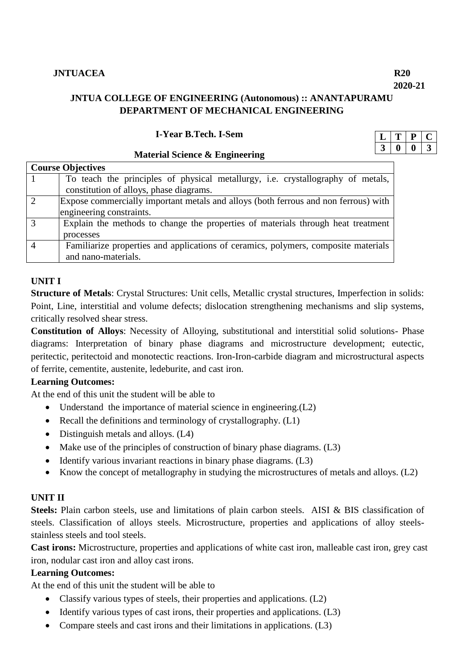**2020-21**

# **JNTUA COLLEGE OF ENGINEERING (Autonomous) :: ANANTAPURAMU DEPARTMENT OF MECHANICAL ENGINEERING**

#### **I-Year B.Tech. I-Sem**

## **Material Science & Engineering**

|               | <b>Course Objectives</b>                                                            |
|---------------|-------------------------------------------------------------------------------------|
|               | To teach the principles of physical metallurgy, i.e. crystallography of metals,     |
|               | constitution of alloys, phase diagrams.                                             |
| $\mathcal{D}$ | Expose commercially important metals and alloys (both ferrous and non ferrous) with |
|               | engineering constraints.                                                            |
|               | Explain the methods to change the properties of materials through heat treatment    |
|               | processes                                                                           |
|               | Familiarize properties and applications of ceramics, polymers, composite materials  |
|               | and nano-materials.                                                                 |

# **UNIT I**

**Structure of Metals**: Crystal Structures: Unit cells, Metallic crystal structures, Imperfection in solids: Point, Line, interstitial and volume defects; dislocation strengthening mechanisms and slip systems, critically resolved shear stress.

**Constitution of Alloys**: Necessity of Alloying, substitutional and interstitial solid solutions- Phase diagrams: Interpretation of binary phase diagrams and microstructure development; eutectic, peritectic, peritectoid and monotectic reactions. Iron-Iron-carbide diagram and microstructural aspects of ferrite, cementite, austenite, ledeburite, and cast iron.

# **Learning Outcomes:**

At the end of this unit the student will be able to

- Understand the importance of material science in engineering.(L2)
- Recall the definitions and terminology of crystallography.  $(L1)$
- Distinguish metals and alloys. (L4)
- Make use of the principles of construction of binary phase diagrams. (L3)
- $\bullet$  Identify various invariant reactions in binary phase diagrams. (L3)
- Know the concept of metallography in studying the microstructures of metals and alloys. (L2)

# **UNIT II**

**Steels:** Plain carbon steels, use and limitations of plain carbon steels. AISI & BIS classification of steels. Classification of alloys steels. Microstructure, properties and applications of alloy steelsstainless steels and tool steels.

**Cast irons:** Microstructure, properties and applications of white cast iron, malleable cast iron, grey cast iron, nodular cast iron and alloy cast irons.

# **Learning Outcomes:**

At the end of this unit the student will be able to

- Classify various types of steels, their properties and applications. (L2)
- Identify various types of cast irons, their properties and applications. (L3)
- Compare steels and cast irons and their limitations in applications. (L3)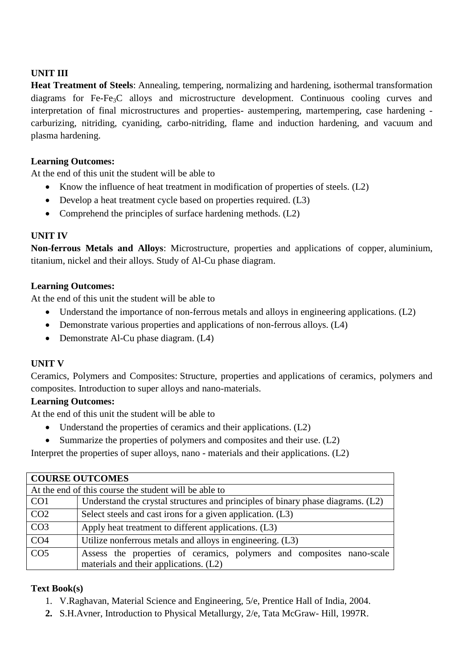# **UNIT III**

**Heat Treatment of Steels**: Annealing, tempering, normalizing and hardening, isothermal transformation diagrams for Fe-Fe3C alloys and microstructure development. Continuous cooling curves and interpretation of final microstructures and properties- austempering, martempering, case hardening carburizing, nitriding, cyaniding, carbo-nitriding, flame and induction hardening, and vacuum and plasma hardening.

# **Learning Outcomes:**

At the end of this unit the student will be able to

- Know the influence of heat treatment in modification of properties of steels. (L2)
- Develop a heat treatment cycle based on properties required. (L3)
- Comprehend the principles of surface hardening methods.  $(L2)$

# **UNIT IV**

**Non-ferrous Metals and Alloys**: Microstructure, properties and applications of copper, aluminium, titanium, nickel and their alloys. Study of Al-Cu phase diagram.

# **Learning Outcomes:**

At the end of this unit the student will be able to

- Understand the importance of non-ferrous metals and alloys in engineering applications. (L2)
- Demonstrate various properties and applications of non-ferrous alloys. (L4)
- Demonstrate Al-Cu phase diagram. (L4)

# **UNIT V**

Ceramics, Polymers and Composites: Structure, properties and applications of ceramics, polymers and composites. Introduction to super alloys and nano-materials.

# **Learning Outcomes:**

At the end of this unit the student will be able to

- Understand the properties of ceramics and their applications. (L2)
- $\bullet$  Summarize the properties of polymers and composites and their use. (L2)

Interpret the properties of super alloys, nano - materials and their applications. (L2)

| <b>COURSE OUTCOMES</b>                                |                                                                                 |  |  |  |  |  |  |  |  |  |
|-------------------------------------------------------|---------------------------------------------------------------------------------|--|--|--|--|--|--|--|--|--|
| At the end of this course the student will be able to |                                                                                 |  |  |  |  |  |  |  |  |  |
| CO <sub>1</sub>                                       | Understand the crystal structures and principles of binary phase diagrams. (L2) |  |  |  |  |  |  |  |  |  |
| CO <sub>2</sub>                                       | Select steels and cast irons for a given application. (L3)                      |  |  |  |  |  |  |  |  |  |
| CO <sub>3</sub>                                       | Apply heat treatment to different applications. (L3)                            |  |  |  |  |  |  |  |  |  |
| CO <sub>4</sub>                                       | Utilize nonferrous metals and alloys in engineering. (L3)                       |  |  |  |  |  |  |  |  |  |
| CO <sub>5</sub>                                       | Assess the properties of ceramics, polymers and composites nano-scale           |  |  |  |  |  |  |  |  |  |
|                                                       | materials and their applications. (L2)                                          |  |  |  |  |  |  |  |  |  |

# **Text Book(s)**

- 1. V.Raghavan, Material Science and Engineering, 5/e, Prentice Hall of India, 2004.
- **2.** S.H.Avner, Introduction to Physical Metallurgy, 2/e, Tata McGraw- Hill, 1997R.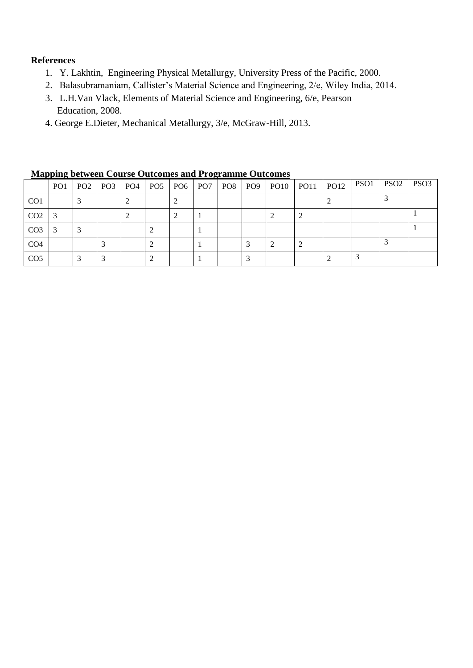# **References**

- 1. [Y. Lakhtin,](https://www.amazon.com/s/ref=dp_byline_sr_book_1?ie=UTF8&text=Y.+Lakhtin&search-alias=books&field-author=Y.+Lakhtin&sort=relevancerank) Engineering Physical Metallurgy, [University Press of the Pacific,](https://www.bookdepository.com/publishers/University-Press-of-the-Pacific) 2000.
- 2. Balasubramaniam, Callister's Material Science and Engineering, 2/e, Wiley India, 2014.
- 3. L.H.Van Vlack, Elements of Material Science and Engineering, 6/e, Pearson Education, 2008.
- 4. George E.Dieter, Mechanical Metallurgy, 3/e, McGraw-Hill, 2013.

|                 | <b>THE PHILE SECTION COULSE OUTCOMES AND I FOLLMANNE OUTCOMES</b> |     |                 |                       |  |  |  |                         |  |               |  |             |      |                  |                  |
|-----------------|-------------------------------------------------------------------|-----|-----------------|-----------------------|--|--|--|-------------------------|--|---------------|--|-------------|------|------------------|------------------|
|                 | PO <sub>1</sub>                                                   | PO2 | PO <sub>3</sub> | $PO4$ PO <sub>5</sub> |  |  |  | $PO6$ $PO7$ $PO8$ $PO9$ |  | $PO10$ $PO11$ |  | <b>PO12</b> | PSO1 | PSO <sub>2</sub> | PSO <sub>3</sub> |
| CO <sub>1</sub> |                                                                   |     |                 |                       |  |  |  |                         |  |               |  |             |      |                  |                  |
| CO <sub>2</sub> |                                                                   |     |                 |                       |  |  |  |                         |  |               |  |             |      |                  |                  |
| CO <sub>3</sub> |                                                                   |     |                 |                       |  |  |  |                         |  |               |  |             |      |                  |                  |
| CO <sub>4</sub> |                                                                   |     |                 |                       |  |  |  |                         |  |               |  |             |      |                  |                  |
| CO <sub>5</sub> |                                                                   |     |                 |                       |  |  |  |                         |  |               |  |             |      |                  |                  |

**Mapping between Course Outcomes and Programme Outcomes**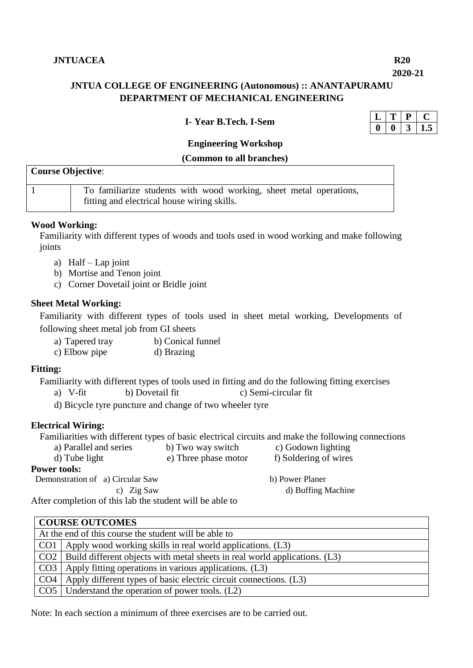### **2020-21**

# **JNTUA COLLEGE OF ENGINEERING (Autonomous) :: ANANTAPURAMU DEPARTMENT OF MECHANICAL ENGINEERING**

#### **I- Year B.Tech. I-Sem**

| , |  |  |  |  |
|---|--|--|--|--|
|   |  |  |  |  |

# **Engineering Workshop**

#### **(Common to all branches)**

| <b>Course Objective:</b> |                                                                                                                   |  |  |  |  |  |  |
|--------------------------|-------------------------------------------------------------------------------------------------------------------|--|--|--|--|--|--|
|                          | To familiarize students with wood working, sheet metal operations,<br>fitting and electrical house wiring skills. |  |  |  |  |  |  |

#### **Wood Working:**

Familiarity with different types of woods and tools used in wood working and make following joints

- a) Half Lap joint
- b) Mortise and Tenon joint
- c) Corner Dovetail joint or Bridle joint

#### **Sheet Metal Working:**

Familiarity with different types of tools used in sheet metal working, Developments of following sheet metal job from GI sheets

- a) Tapered tray b) Conical funnel
- c) Elbow pipe d) Brazing

#### **Fitting:**

Familiarity with different types of tools used in fitting and do the following fitting exercises

- a) V-fit b) Dovetail fit c) Semi-circular fit
- d) Bicycle tyre puncture and change of two wheeler tyre

#### **Electrical Wiring:**

Familiarities with different types of basic electrical circuits and make the following connections<br>a) Parallel and series b) Two way switch c) Godown lighting

a) Parallel and series d) Tube light e) Three phase motor f) Soldering of wires

## **Power tools:**

**b**) Power Planer c) Zig Saw d) Buffing Machine

After completion of this lab the student will be able to

| <b>COURSE OUTCOMES</b>                                                             |  |  |  |  |  |  |  |  |  |
|------------------------------------------------------------------------------------|--|--|--|--|--|--|--|--|--|
| At the end of this course the student will be able to                              |  |  |  |  |  |  |  |  |  |
| $CO1$   Apply wood working skills in real world applications. (L3)                 |  |  |  |  |  |  |  |  |  |
| $CO2$   Build different objects with metal sheets in real world applications. (L3) |  |  |  |  |  |  |  |  |  |
| $CO3$   Apply fitting operations in various applications. (L3)                     |  |  |  |  |  |  |  |  |  |
| CO4   Apply different types of basic electric circuit connections. (L3)            |  |  |  |  |  |  |  |  |  |
| CO5   Understand the operation of power tools. (L2)                                |  |  |  |  |  |  |  |  |  |

Note: In each section a minimum of three exercises are to be carried out.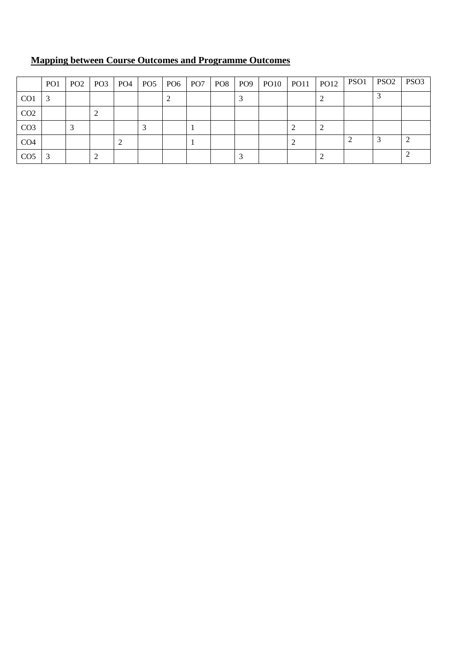|                 | PO <sub>1</sub> | PO <sub>2</sub> | $\mid$ PO3 $\mid$ PO4 $\mid$ PO5 $\mid$ PO6 $\mid$ PO7 $\mid$ PO8 |  |  |  | PO9   PO10   PO11 | <b>PO12</b> | PSO1 PSO2 | PSO <sub>3</sub> |
|-----------------|-----------------|-----------------|-------------------------------------------------------------------|--|--|--|-------------------|-------------|-----------|------------------|
| CO <sub>1</sub> |                 |                 |                                                                   |  |  |  |                   |             |           |                  |
| CO <sub>2</sub> |                 |                 |                                                                   |  |  |  |                   |             |           |                  |
| CO <sub>3</sub> |                 |                 |                                                                   |  |  |  |                   |             |           |                  |
| CO <sub>4</sub> |                 |                 |                                                                   |  |  |  |                   |             |           |                  |
| CO <sub>5</sub> |                 |                 |                                                                   |  |  |  |                   |             |           |                  |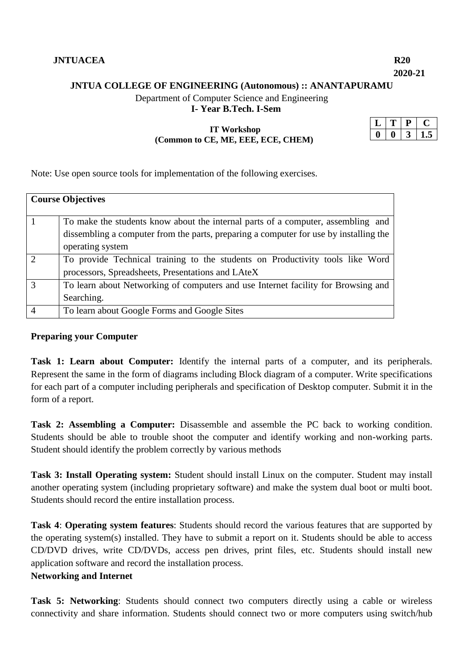**2020-21**

# **JNTUA COLLEGE OF ENGINEERING (Autonomous) :: ANANTAPURAMU**

Department of Computer Science and Engineering

**I- Year B.Tech. I-Sem**

# **IT Workshop (Common to CE, ME, EEE, ECE, CHEM)**

Note: Use open source tools for implementation of the following exercises.

|          | <b>Course Objectives</b>                                                              |
|----------|---------------------------------------------------------------------------------------|
|          | To make the students know about the internal parts of a computer, assembling and      |
|          | dissembling a computer from the parts, preparing a computer for use by installing the |
|          | operating system                                                                      |
| $\gamma$ | To provide Technical training to the students on Productivity tools like Word         |
|          | processors, Spreadsheets, Presentations and LAteX                                     |
| 3        | To learn about Networking of computers and use Internet facility for Browsing and     |
|          | Searching.                                                                            |
|          | To learn about Google Forms and Google Sites                                          |

## **Preparing your Computer**

**Task 1: Learn about Computer:** Identify the internal parts of a computer, and its peripherals. Represent the same in the form of diagrams including Block diagram of a computer. Write specifications for each part of a computer including peripherals and specification of Desktop computer. Submit it in the form of a report.

**Task 2: Assembling a Computer:** Disassemble and assemble the PC back to working condition. Students should be able to trouble shoot the computer and identify working and non-working parts. Student should identify the problem correctly by various methods

**Task 3: Install Operating system:** Student should install Linux on the computer. Student may install another operating system (including proprietary software) and make the system dual boot or multi boot. Students should record the entire installation process.

**Task 4**: **Operating system features**: Students should record the various features that are supported by the operating system(s) installed. They have to submit a report on it. Students should be able to access CD/DVD drives, write CD/DVDs, access pen drives, print files, etc. Students should install new application software and record the installation process. **Networking and Internet** 

**Task 5: Networking**: Students should connect two computers directly using a cable or wireless connectivity and share information. Students should connect two or more computers using switch/hub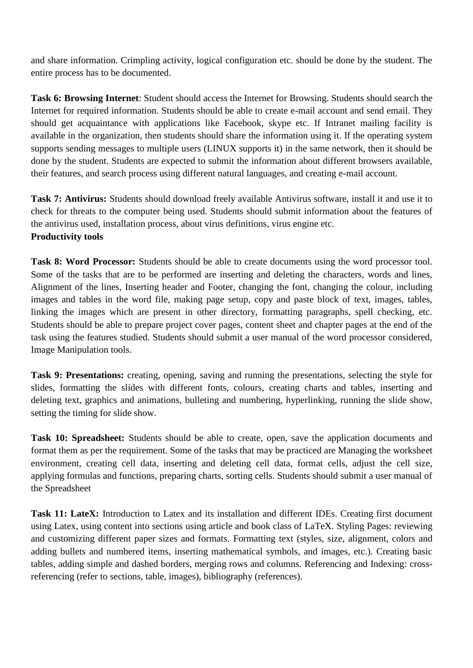and share information. Crimpling activity, logical configuration etc. should be done by the student. The entire process has to be documented.

**Task 6: Browsing Internet**: Student should access the Internet for Browsing. Students should search the Internet for required information. Students should be able to create e-mail account and send email. They should get acquaintance with applications like Facebook, skype etc. If Intranet mailing facility is available in the organization, then students should share the information using it. If the operating system supports sending messages to multiple users (LINUX supports it) in the same network, then it should be done by the student. Students are expected to submit the information about different browsers available, their features, and search process using different natural languages, and creating e-mail account.

**Task 7: Antivirus:** Students should download freely available Antivirus software, install it and use it to check for threats to the computer being used. Students should submit information about the features of the antivirus used, installation process, about virus definitions, virus engine etc. **Productivity tools** 

**Task 8: Word Processor:** Students should be able to create documents using the word processor tool. Some of the tasks that are to be performed are inserting and deleting the characters, words and lines, Alignment of the lines, Inserting header and Footer, changing the font, changing the colour, including images and tables in the word file, making page setup, copy and paste block of text, images, tables, linking the images which are present in other directory, formatting paragraphs, spell checking, etc. Students should be able to prepare project cover pages, content sheet and chapter pages at the end of the task using the features studied. Students should submit a user manual of the word processor considered, Image Manipulation tools.

**Task 9: Presentations:** creating, opening, saving and running the presentations, selecting the style for slides, formatting the slides with different fonts, colours, creating charts and tables, inserting and deleting text, graphics and animations, bulleting and numbering, hyperlinking, running the slide show, setting the timing for slide show.

**Task 10: Spreadsheet:** Students should be able to create, open, save the application documents and format them as per the requirement. Some of the tasks that may be practiced are Managing the worksheet environment, creating cell data, inserting and deleting cell data, format cells, adjust the cell size, applying formulas and functions, preparing charts, sorting cells. Students should submit a user manual of the Spreadsheet

**Task 11: LateX:** Introduction to Latex and its installation and different IDEs. Creating first document using Latex, using content into sections using article and book class of LaTeX. Styling Pages: reviewing and customizing different paper sizes and formats. Formatting text (styles, size, alignment, colors and adding bullets and numbered items, inserting mathematical symbols, and images, etc.). Creating basic tables, adding simple and dashed borders, merging rows and columns. Referencing and Indexing: crossreferencing (refer to sections, table, images), bibliography (references).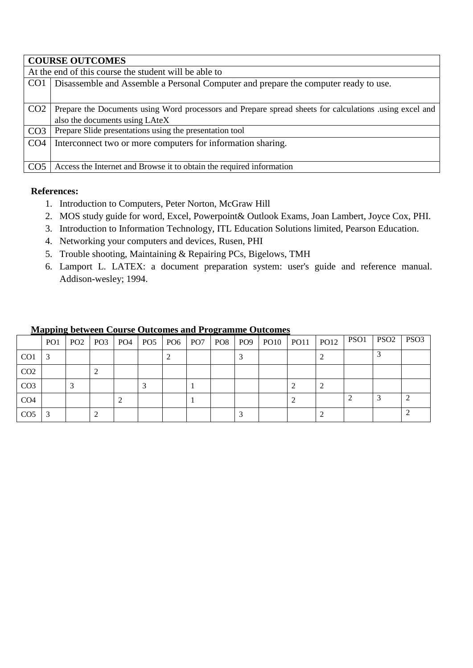|                 | <b>COURSE OUTCOMES</b>                                                                                 |  |  |  |  |  |
|-----------------|--------------------------------------------------------------------------------------------------------|--|--|--|--|--|
|                 | At the end of this course the student will be able to                                                  |  |  |  |  |  |
| CO <sub>1</sub> | Disassemble and Assemble a Personal Computer and prepare the computer ready to use.                    |  |  |  |  |  |
|                 |                                                                                                        |  |  |  |  |  |
| CO <sub>2</sub> | Prepare the Documents using Word processors and Prepare spread sheets for calculations using excel and |  |  |  |  |  |
|                 | also the documents using LAteX                                                                         |  |  |  |  |  |
| CO <sub>3</sub> | Prepare Slide presentations using the presentation tool                                                |  |  |  |  |  |
| CO <sub>4</sub> | Interconnect two or more computers for information sharing.                                            |  |  |  |  |  |
|                 |                                                                                                        |  |  |  |  |  |
| CO <sub>5</sub> | Access the Internet and Browse it to obtain the required information                                   |  |  |  |  |  |

# **References:**

- 1. Introduction to Computers, Peter Norton, McGraw Hill
- 2. MOS study guide for word, Excel, Powerpoint& Outlook Exams, Joan Lambert, Joyce Cox, PHI.
- 3. Introduction to Information Technology, ITL Education Solutions limited, Pearson Education.
- 4. Networking your computers and devices, Rusen, PHI
- 5. Trouble shooting, Maintaining & Repairing PCs, Bigelows, TMH
- 6. Lamport L. LATEX: a document preparation system: user's guide and reference manual. Addison-wesley; 1994.

|                 | PO <sub>1</sub> | PO <sub>2</sub> |   | PO3   PO4   PO5 | PO <sub>6</sub> | PO <sub>7</sub> | PO8 PO9 | $PO10$ $PO11$ | <b>PO12</b> | PSO1 | PSO <sub>2</sub> | PSO <sub>3</sub> |
|-----------------|-----------------|-----------------|---|-----------------|-----------------|-----------------|---------|---------------|-------------|------|------------------|------------------|
| CO <sub>1</sub> | 3               |                 |   |                 |                 |                 |         |               |             |      |                  |                  |
| CO <sub>2</sub> |                 |                 | ∠ |                 |                 |                 |         |               |             |      |                  |                  |
| CO <sub>3</sub> |                 |                 |   |                 |                 |                 |         |               |             |      |                  |                  |
| CO <sub>4</sub> |                 |                 |   |                 |                 |                 |         |               |             |      |                  |                  |
| CO <sub>5</sub> | 3               |                 | ∠ |                 |                 |                 |         |               |             |      |                  |                  |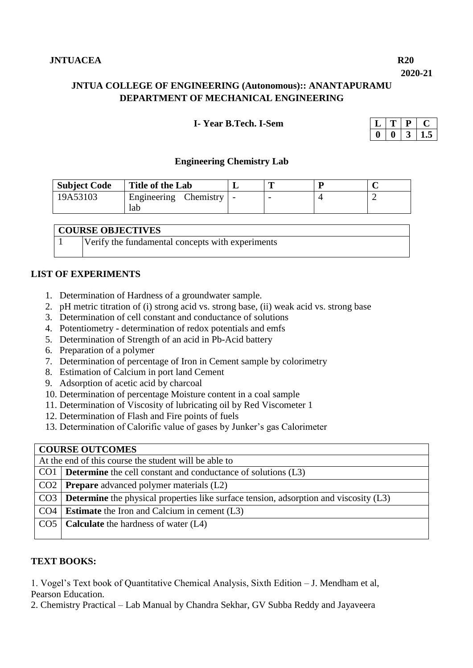**2020-21**

# **JNTUA COLLEGE OF ENGINEERING (Autonomous):: ANANTAPURAMU DEPARTMENT OF MECHANICAL ENGINEERING**

# **I- Year B.Tech. I-Sem**

#### **Engineering Chemistry Lab**

| <b>Subject Code</b> | Title of the Lab               |  |  |
|---------------------|--------------------------------|--|--|
| 19A53103            | ' Engineering Chemistry<br>lab |  |  |

| <b>COURSE OBJECTIVES</b> |
|--------------------------|
|--------------------------|

|  | Verify the fundamental concepts with experiments |  |  |
|--|--------------------------------------------------|--|--|
|--|--------------------------------------------------|--|--|

# **LIST OF EXPERIMENTS**

- 1. Determination of Hardness of a groundwater sample.
- 2. pH metric titration of (i) strong acid vs. strong base, (ii) weak acid vs. strong base
- 3. Determination of cell constant and conductance of solutions
- 4. Potentiometry determination of redox potentials and emfs
- 5. Determination of Strength of an acid in Pb-Acid battery
- 6. Preparation of a polymer
- 7. Determination of percentage of Iron in Cement sample by colorimetry
- 8. Estimation of Calcium in port land Cement
- 9. Adsorption of acetic acid by charcoal
- 10. Determination of percentage Moisture content in a coal sample
- 11. Determination of Viscosity of lubricating oil by Red Viscometer 1
- 12. Determination of Flash and Fire points of fuels
- 13. Determination of Calorific value of gases by Junker's gas Calorimeter

# **COURSE OUTCOMES**

| At the end of this course the student will be able to                                              |  |  |  |
|----------------------------------------------------------------------------------------------------|--|--|--|
| CO1   <b>Determine</b> the cell constant and conductance of solutions $(L3)$                       |  |  |  |
| $CO2$ <b>Prepare</b> advanced polymer materials $(L2)$                                             |  |  |  |
| $CO3$ <b>Determine</b> the physical properties like surface tension, adsorption and viscosity (L3) |  |  |  |
| $CO4$   <b>Estimate</b> the Iron and Calcium in cement (L3)                                        |  |  |  |
| $CO5$ Calculate the hardness of water (L4)                                                         |  |  |  |
|                                                                                                    |  |  |  |

#### **TEXT BOOKS:**

1. Vogel's Text book of Quantitative Chemical Analysis, Sixth Edition – J. Mendham et al, Pearson Education.

2. Chemistry Practical – Lab Manual by Chandra Sekhar, GV Subba Reddy and Jayaveera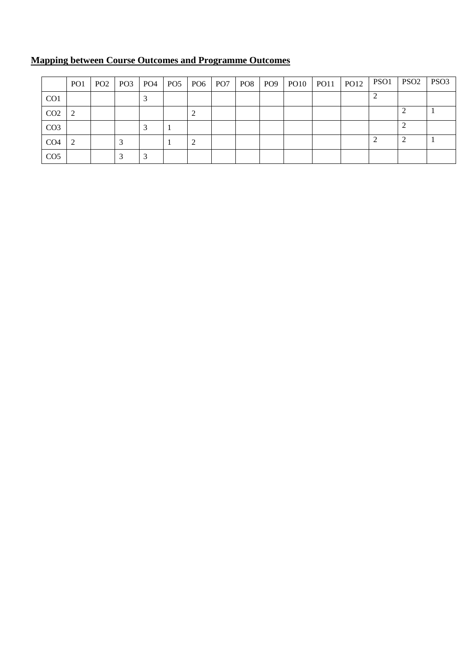|                 | PO <sub>1</sub> |  | PO2   PO3   PO4   PO5 | $PO6$ $PO7$ $PO8$ |  |  | <b>PO12</b> | PSO1 | PSO <sub>2</sub> PSO <sub>3</sub> |  |
|-----------------|-----------------|--|-----------------------|-------------------|--|--|-------------|------|-----------------------------------|--|
| CO <sub>1</sub> |                 |  |                       |                   |  |  |             |      |                                   |  |
| CO <sub>2</sub> | $\gamma$        |  |                       | ∠                 |  |  |             |      |                                   |  |
| CO <sub>3</sub> |                 |  |                       |                   |  |  |             |      |                                   |  |
| CO <sub>4</sub> | $\mathcal{D}$   |  |                       |                   |  |  |             |      |                                   |  |
| CO <sub>5</sub> |                 |  |                       |                   |  |  |             |      |                                   |  |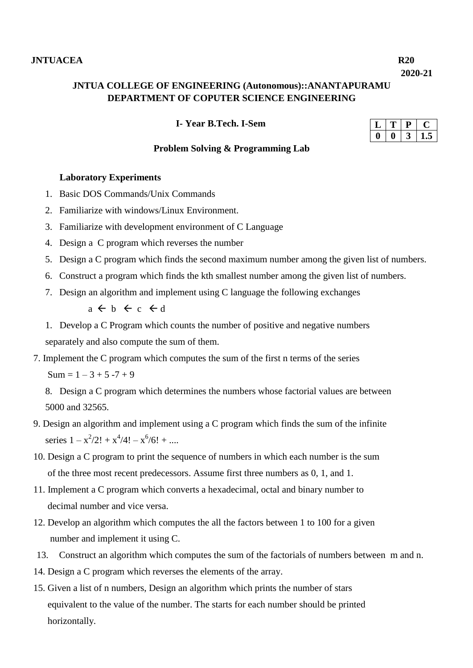**2020-21**

# **JNTUA COLLEGE OF ENGINEERING (Autonomous)::ANANTAPURAMU DEPARTMENT OF COPUTER SCIENCE ENGINEERING**

 **I- Year B.Tech. I-Sem**

#### **Problem Solving & Programming Lab**

# **Laboratory Experiments**

- 1. Basic DOS Commands/Unix Commands
- 2. Familiarize with windows/Linux Environment.
- 3. Familiarize with development environment of C Language
- 4. Design a C program which reverses the number
- 5. Design a C program which finds the second maximum number among the given list of numbers.
- 6. Construct a program which finds the kth smallest number among the given list of numbers.
- 7. Design an algorithm and implement using C language the following exchanges

 $a \leftarrow b \leftarrow c \leftarrow d$ 

1. Develop a C Program which counts the number of positive and negative numbers separately and also compute the sum of them.

7. Implement the C program which computes the sum of the first n terms of the series  $Sum = 1 - 3 + 5 - 7 + 9$ 

8. Design a C program which determines the numbers whose factorial values are between 5000 and 32565.

- 9. Design an algorithm and implement using a C program which finds the sum of the infinite series  $1 - x^2/2! + x^4/4! - x^6/6! + ...$
- 10. Design a C program to print the sequence of numbers in which each number is the sum of the three most recent predecessors. Assume first three numbers as 0, 1, and 1.
- 11. Implement a C program which converts a hexadecimal, octal and binary number to decimal number and vice versa.
- 12. Develop an algorithm which computes the all the factors between 1 to 100 for a given number and implement it using C.
- 13. Construct an algorithm which computes the sum of the factorials of numbers between m and n.
- 14. Design a C program which reverses the elements of the array.
- 15. Given a list of n numbers, Design an algorithm which prints the number of stars equivalent to the value of the number. The starts for each number should be printed horizontally.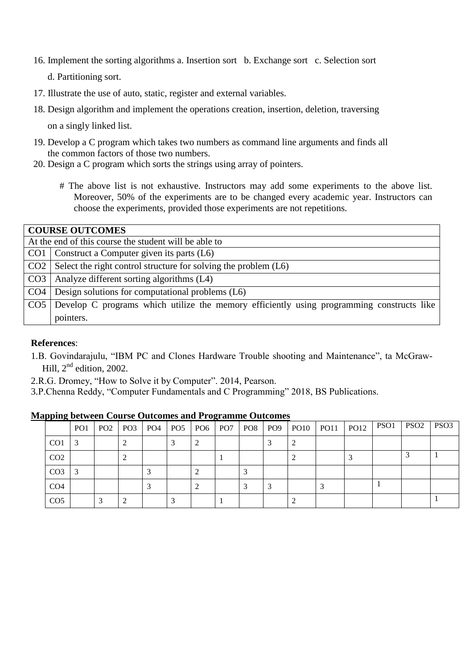16. Implement the sorting algorithms a. Insertion sort b. Exchange sort c. Selection sort

d. Partitioning sort.

- 17. Illustrate the use of auto, static, register and external variables.
- 18. Design algorithm and implement the operations creation, insertion, deletion, traversing

on a singly linked list.

- 19. Develop a C program which takes two numbers as command line arguments and finds all the common factors of those two numbers.
- 20. Design a C program which sorts the strings using array of pointers.
	- # The above list is not exhaustive. Instructors may add some experiments to the above list. Moreover, 50% of the experiments are to be changed every academic year. Instructors can choose the experiments, provided those experiments are not repetitions.

|                 | <b>COURSE OUTCOMES</b>                                                                    |  |  |  |  |  |
|-----------------|-------------------------------------------------------------------------------------------|--|--|--|--|--|
|                 | At the end of this course the student will be able to                                     |  |  |  |  |  |
|                 | CO1   Construct a Computer given its parts $(L6)$                                         |  |  |  |  |  |
|                 | $CO2$ Select the right control structure for solving the problem $(L6)$                   |  |  |  |  |  |
|                 | $CO3$   Analyze different sorting algorithms $(L4)$                                       |  |  |  |  |  |
|                 | $CO4$ Design solutions for computational problems (L6)                                    |  |  |  |  |  |
| CO <sub>5</sub> | Develop C programs which utilize the memory efficiently using programming constructs like |  |  |  |  |  |
|                 | pointers.                                                                                 |  |  |  |  |  |

#### **References**:

- 1.B. Govindarajulu, "IBM PC and Clones Hardware Trouble shooting and Maintenance", ta McGraw-Hill,  $2<sup>nd</sup>$  edition, 2002.
- 2.R.G. Dromey, "How to Solve it by Computer". 2014, Pearson.
- 3.P.Chenna Reddy, "Computer Fundamentals and C Programming" 2018, BS Publications.

|  | <b>Mapping between Course Outcomes and Programme Outcomes</b> |  |  |  |  |                                                     |  |
|--|---------------------------------------------------------------|--|--|--|--|-----------------------------------------------------|--|
|  |                                                               |  |  |  |  | حارمهما ممجا ممحا ممحا يمحا ومجارمها ومحارومها يمحر |  |

|                 | PO1 | PO2 | PO3 | $PO4$ PO <sub>5</sub> |  |  | PO9 | $PO10$ $PO11$ $PO12$ | PSO1 | PSO <sub>2</sub> | PSO <sub>3</sub> |
|-----------------|-----|-----|-----|-----------------------|--|--|-----|----------------------|------|------------------|------------------|
| CO <sub>1</sub> | -3  |     |     |                       |  |  |     |                      |      |                  |                  |
| CO <sub>2</sub> |     |     |     |                       |  |  |     |                      |      |                  |                  |
| CO <sub>3</sub> |     |     |     |                       |  |  |     |                      |      |                  |                  |
| CO <sub>4</sub> |     |     |     |                       |  |  |     |                      |      |                  |                  |
| CO <sub>5</sub> |     |     |     |                       |  |  |     |                      |      |                  |                  |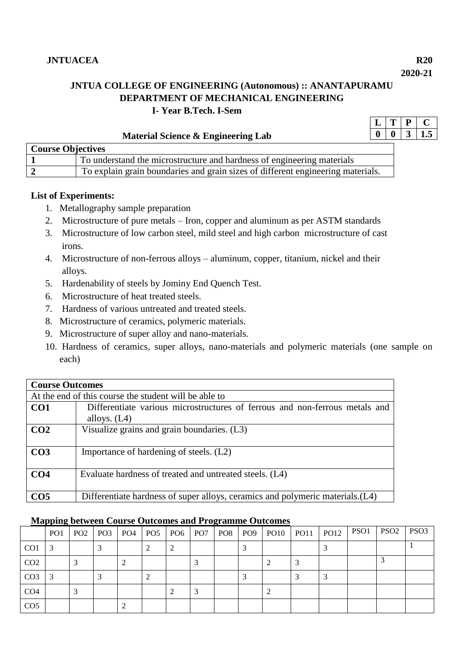**2020-21**

 $|L|T|P|C$ 

# **JNTUA COLLEGE OF ENGINEERING (Autonomous) :: ANANTAPURAMU DEPARTMENT OF MECHANICAL ENGINEERING I- Year B.Tech. I-Sem**

| Material Science & Engineering Lab |                                                                                 |  |  |  |  |  |  |
|------------------------------------|---------------------------------------------------------------------------------|--|--|--|--|--|--|
| <b>Course Objectives</b>           |                                                                                 |  |  |  |  |  |  |
|                                    | To understand the microstructure and hardness of engineering materials          |  |  |  |  |  |  |
|                                    | To explain grain boundaries and grain sizes of different engineering materials. |  |  |  |  |  |  |

# **List of Experiments:**

- 1. Metallography sample preparation
- 2. Microstructure of pure metals Iron, copper and aluminum as per ASTM standards
- 3. Microstructure of low carbon steel, mild steel and high carbon microstructure of cast irons.
- 4. Microstructure of non-ferrous alloys aluminum, copper, titanium, nickel and their alloys.
- 5. Hardenability of steels by Jominy End Quench Test.
- 6. Microstructure of heat treated steels.
- 7. Hardness of various untreated and treated steels.
- 8. Microstructure of ceramics, polymeric materials.
- 9. Microstructure of super alloy and nano-materials.
- 10. Hardness of ceramics, super alloys, nano-materials and polymeric materials (one sample on each)

| <b>Course Outcomes</b> |                                                                                               |  |  |  |  |  |  |
|------------------------|-----------------------------------------------------------------------------------------------|--|--|--|--|--|--|
|                        | At the end of this course the student will be able to                                         |  |  |  |  |  |  |
| CO <sub>1</sub>        | Differentiate various microstructures of ferrous and non-ferrous metals and<br>alloys. $(L4)$ |  |  |  |  |  |  |
| CO <sub>2</sub>        | Visualize grains and grain boundaries. (L3)                                                   |  |  |  |  |  |  |
|                        |                                                                                               |  |  |  |  |  |  |
| CO <sub>3</sub>        | Importance of hardening of steels. (L2)                                                       |  |  |  |  |  |  |
| CO <sub>4</sub>        | Evaluate hardness of treated and untreated steels. (L4)                                       |  |  |  |  |  |  |
| CO <sub>5</sub>        | Differentiate hardness of super alloys, ceramics and polymeric materials. (L4)                |  |  |  |  |  |  |

|                 | PO <sub>1</sub> |  | PO2   PO3   PO4   PO5 | PO <sub>6</sub> PO <sub>7</sub> |  | $\mid$ PO8 $\mid$ PO9 $\mid$ PO10 $\mid$ PO11 | PO12 | PSO1 | PSO <sub>2</sub> | PSO <sub>3</sub> |
|-----------------|-----------------|--|-----------------------|---------------------------------|--|-----------------------------------------------|------|------|------------------|------------------|
| CO <sub>1</sub> | 3               |  |                       |                                 |  |                                               |      |      |                  |                  |
| CO <sub>2</sub> |                 |  |                       |                                 |  |                                               |      |      |                  |                  |
| CO <sub>3</sub> | $\mathcal{E}$   |  |                       |                                 |  |                                               |      |      |                  |                  |
| CO <sub>4</sub> |                 |  |                       |                                 |  |                                               |      |      |                  |                  |
| CO <sub>5</sub> |                 |  |                       |                                 |  |                                               |      |      |                  |                  |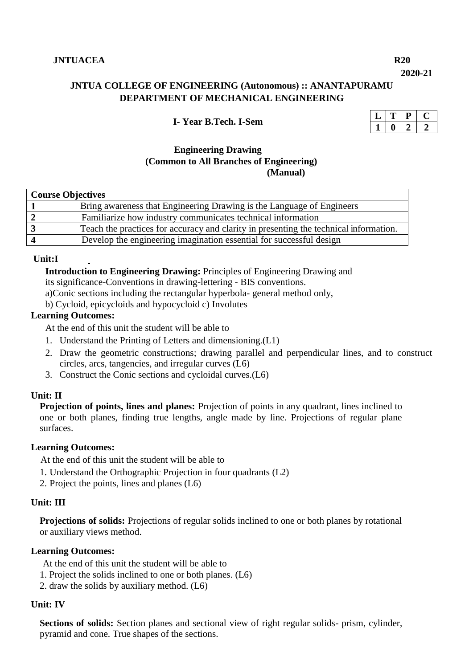**2020-21**

# **JNTUA COLLEGE OF ENGINEERING (Autonomous) :: ANANTAPURAMU DEPARTMENT OF MECHANICAL ENGINEERING**

#### **I- Year B.Tech. I-Sem**

# **Engineering Drawing (Common to All Branches of Engineering) (Manual)**

| <b>Course Objectives</b> |                                                                                       |  |  |  |  |  |  |
|--------------------------|---------------------------------------------------------------------------------------|--|--|--|--|--|--|
|                          | Bring awareness that Engineering Drawing is the Language of Engineers                 |  |  |  |  |  |  |
|                          | Familiarize how industry communicates technical information                           |  |  |  |  |  |  |
|                          | Teach the practices for accuracy and clarity in presenting the technical information. |  |  |  |  |  |  |
|                          | Develop the engineering imagination essential for successful design                   |  |  |  |  |  |  |

#### **Unit:I**

 **Introduction to Engineering Drawing:** Principles of Engineering Drawing and its significance-Conventions in drawing-lettering - BIS conventions.

a)Conic sections including the rectangular hyperbola- general method only,

b) Cycloid, epicycloids and hypocycloid c) Involutes

#### **Learning Outcomes:**

At the end of this unit the student will be able to

- 1. Understand the Printing of Letters and dimensioning.(L1)
- 2. Draw the geometric constructions; drawing parallel and perpendicular lines, and to construct circles, arcs, tangencies, and irregular curves (L6)
- 3. Construct the Conic sections and cycloidal curves.(L6)

#### **Unit: II**

**Projection of points, lines and planes:** Projection of points in any quadrant, lines inclined to one or both planes, finding true lengths, angle made by line. Projections of regular plane surfaces.

#### **Learning Outcomes:**

At the end of this unit the student will be able to

- 1. Understand the Orthographic Projection in four quadrants (L2)
- 2. Project the points, lines and planes (L6)

## **Unit: III**

**Projections of solids:** Projections of regular solids inclined to one or both planes by rotational or auxiliary views method.

#### **Learning Outcomes:**

At the end of this unit the student will be able to

- 1. Project the solids inclined to one or both planes. (L6)
- 2. draw the solids by auxiliary method. (L6)

#### **Unit: IV**

**Sections of solids:** Section planes and sectional view of right regular solids- prism, cylinder, pyramid and cone. True shapes of the sections.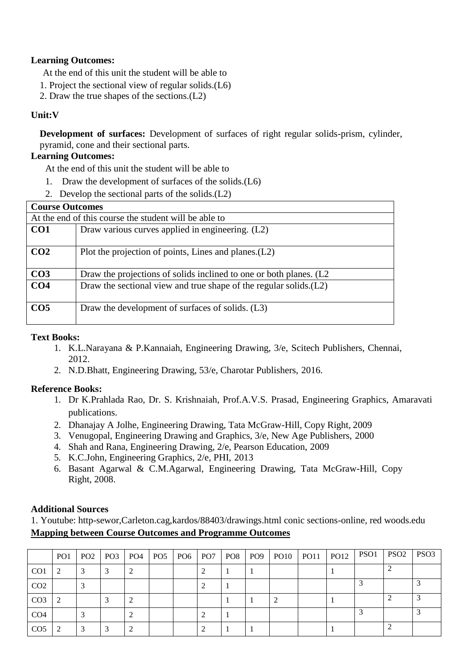# **Learning Outcomes:**

At the end of this unit the student will be able to

- 1. Project the sectional view of regular solids.(L6)
- 2. Draw the true shapes of the sections.(L2)

# **Unit:V**

**Development of surfaces:** Development of surfaces of right regular solids-prism, cylinder, pyramid, cone and their sectional parts.

# **Learning Outcomes:**

At the end of this unit the student will be able to

- 1. Draw the development of surfaces of the solids.(L6)
- 2. Develop the sectional parts of the solids.(L2)

| <b>Course Outcomes</b>                                |                                                                      |  |  |  |  |  |
|-------------------------------------------------------|----------------------------------------------------------------------|--|--|--|--|--|
| At the end of this course the student will be able to |                                                                      |  |  |  |  |  |
| CO <sub>1</sub>                                       | Draw various curves applied in engineering. (L2)                     |  |  |  |  |  |
| CO <sub>2</sub>                                       | Plot the projection of points, Lines and planes. (L2)                |  |  |  |  |  |
| CO <sub>3</sub>                                       | Draw the projections of solids inclined to one or both planes. (L2   |  |  |  |  |  |
| CO <sub>4</sub>                                       | Draw the sectional view and true shape of the regular solids. $(L2)$ |  |  |  |  |  |
| CO <sub>5</sub>                                       | Draw the development of surfaces of solids. (L3)                     |  |  |  |  |  |

#### **Text Books:**

- 1. K.L.Narayana & P.Kannaiah, Engineering Drawing, 3/e, Scitech Publishers, Chennai, 2012.
- 2. N.D.Bhatt, Engineering Drawing, 53/e, Charotar Publishers, 2016.

#### **Reference Books:**

- 1. Dr K.Prahlada Rao, Dr. S. Krishnaiah, Prof.A.V.S. Prasad, Engineering Graphics, Amaravati publications.
- 2. Dhanajay A Jolhe, Engineering Drawing, Tata McGraw-Hill, Copy Right, 2009
- 3. Venugopal, Engineering Drawing and Graphics, 3/e, New Age Publishers, 2000
- 4. Shah and Rana, Engineering Drawing, 2/e, Pearson Education, 2009
- 5. K.C.John, Engineering Graphics, 2/e, PHI, 2013
- 6. Basant Agarwal & C.M.Agarwal, Engineering Drawing, Tata McGraw-Hill, Copy Right, 2008.

### **Additional Sources**

1. Youtube: http-sewor,Carleton.cag,kardos/88403/drawings.html conic sections-online, red woods.edu **Mapping between Course Outcomes and Programme Outcomes** 

|                 | PO <sub>1</sub> | PO2 | PO <sub>3</sub> | PO4 | PO <sub>5</sub> | PO <sub>6</sub> | PO <sub>7</sub> | PO8 | PO9 | <b>PO10</b> | <b>PO11</b> | <b>PO12</b> | PSO <sub>1</sub> | PSO <sub>2</sub> | PSO <sub>3</sub> |
|-----------------|-----------------|-----|-----------------|-----|-----------------|-----------------|-----------------|-----|-----|-------------|-------------|-------------|------------------|------------------|------------------|
| CO <sub>1</sub> | $\bigcap$       |     |                 |     |                 |                 |                 |     |     |             |             |             |                  |                  |                  |
| CO <sub>2</sub> |                 |     |                 |     |                 |                 |                 |     |     |             |             |             |                  |                  |                  |
| CO <sub>3</sub> |                 |     |                 |     |                 |                 |                 |     |     |             |             |             |                  |                  |                  |
| CO <sub>4</sub> |                 |     |                 |     |                 |                 |                 |     |     |             |             |             |                  |                  |                  |
| CO <sub>5</sub> |                 |     |                 |     |                 |                 |                 |     |     |             |             |             |                  |                  |                  |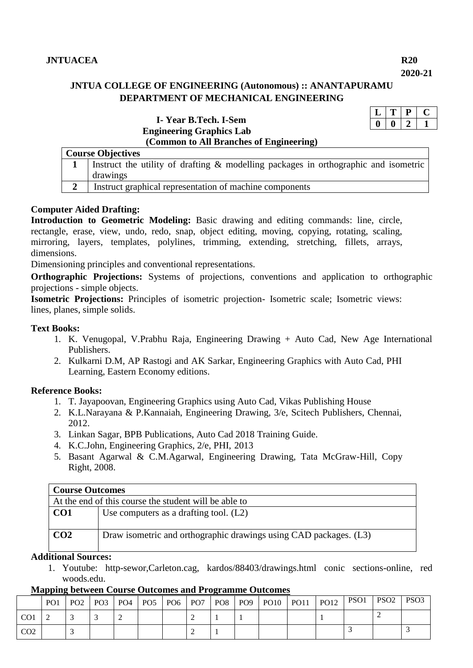# **JNTUA COLLEGE OF ENGINEERING (Autonomous) :: ANANTAPURAMU DEPARTMENT OF MECHANICAL ENGINEERING**

| I-Year B.Tech. I-Sem                    |
|-----------------------------------------|
| <b>Engineering Graphics Lab</b>         |
| (Common to All Branches of Engineering) |

| <b>Course Objectives</b>                                                            |
|-------------------------------------------------------------------------------------|
| Instruct the utility of drafting & modelling packages in orthographic and isometric |
| drawings                                                                            |
| Instruct graphical representation of machine components                             |

# **Computer Aided Drafting:**

**Introduction to Geometric Modeling:** Basic drawing and editing commands: line, circle, rectangle, erase, view, undo, redo, snap, object editing, moving, copying, rotating, scaling, mirroring, layers, templates, polylines, trimming, extending, stretching, fillets, arrays, dimensions.

Dimensioning principles and conventional representations.

**Orthographic Projections:** Systems of projections, conventions and application to orthographic projections - simple objects.

**Isometric Projections:** Principles of isometric projection- Isometric scale; Isometric views: lines, planes, simple solids.

#### **Text Books:**

- 1. K. Venugopal, V.Prabhu Raja, Engineering Drawing + Auto Cad, New Age International Publishers.
- 2. Kulkarni D.M, AP Rastogi and AK Sarkar, Engineering Graphics with Auto Cad, PHI Learning, Eastern Economy editions.

#### **Reference Books:**

- 1. T. Jayapoovan, Engineering Graphics using Auto Cad, Vikas Publishing House
- 2. K.L.Narayana & P.Kannaiah, Engineering Drawing, 3/e, Scitech Publishers, Chennai, 2012.
- 3. Linkan Sagar, BPB Publications, Auto Cad 2018 Training Guide.
- 4. K.C.John, Engineering Graphics, 2/e, PHI, 2013
- 5. Basant Agarwal & C.M.Agarwal, Engineering Drawing, Tata McGraw-Hill, Copy Right, 2008.

# **Course Outcomes**

| At the end of this course the student will be able to |                                                                   |  |  |  |  |
|-------------------------------------------------------|-------------------------------------------------------------------|--|--|--|--|
| CO1                                                   | Use computers as a drafting tool. $(L2)$                          |  |  |  |  |
| CO <sub>2</sub>                                       | Draw isometric and orthographic drawings using CAD packages. (L3) |  |  |  |  |

# **Additional Sources:**

1. Youtube: http-sewor,Carleton.cag, kardos/88403/drawings.html conic sections-online, red woods.edu.

|                 | PO <sub>1</sub> |  |  |  |  | PO2   PO3   PO4   PO5   PO6   PO7   PO8   PO9   PO10   PO11 | P <sub>012</sub> | PSO1 | $PSO2$ PSO3 |  |
|-----------------|-----------------|--|--|--|--|-------------------------------------------------------------|------------------|------|-------------|--|
| CO <sub>1</sub> |                 |  |  |  |  |                                                             |                  |      |             |  |
| CO <sub>2</sub> |                 |  |  |  |  |                                                             |                  |      |             |  |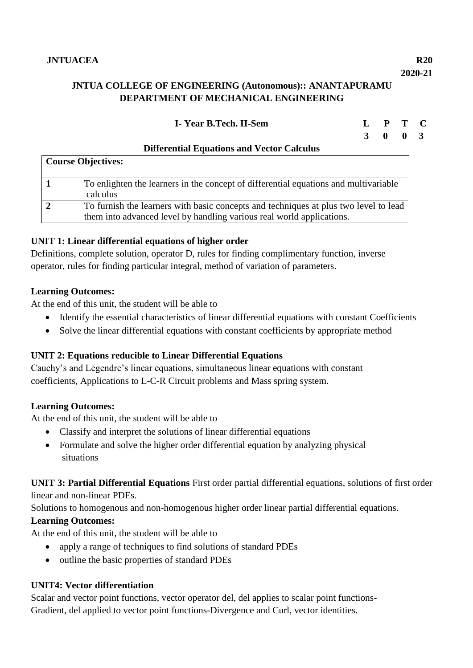# **JNTUA COLLEGE OF ENGINEERING (Autonomous):: ANANTAPURAMU DEPARTMENT OF MECHANICAL ENGINEERING**

# **I- Year B.Tech. II-Sem L P T C**

# **3 0 0 3**

| DHIU Chuai Duuations and Vector Calculus                                                                                                                      |
|---------------------------------------------------------------------------------------------------------------------------------------------------------------|
| <b>Course Objectives:</b>                                                                                                                                     |
| To enlighten the learners in the concept of differential equations and multivariable<br>calculus                                                              |
| To furnish the learners with basic concepts and techniques at plus two level to lead<br>them into advanced level by handling various real world applications. |

# **Differential Equations and Vector Calculus**

# **UNIT 1: Linear differential equations of higher order**

Definitions, complete solution, operator D, rules for finding complimentary function, inverse operator, rules for finding particular integral, method of variation of parameters.

# **Learning Outcomes:**

At the end of this unit, the student will be able to

- Identify the essential characteristics of linear differential equations with constant Coefficients
- Solve the linear differential equations with constant coefficients by appropriate method

#### **UNIT 2: Equations reducible to Linear Differential Equations**

Cauchy's and Legendre's linear equations, simultaneous linear equations with constant coefficients, Applications to L-C-R Circuit problems and Mass spring system.

#### **Learning Outcomes:**

At the end of this unit, the student will be able to

- Classify and interpret the solutions of linear differential equations
- Formulate and solve the higher order differential equation by analyzing physical situations

# **UNIT 3: Partial Differential Equations** First order partial differential equations, solutions of first order

linear and non-linear PDEs.

Solutions to homogenous and non-homogenous higher order linear partial differential equations.

#### **Learning Outcomes:**

At the end of this unit, the student will be able to

- apply a range of techniques to find solutions of standard PDEs
- outline the basic properties of standard PDEs

#### **UNIT4: Vector differentiation**

Scalar and vector point functions, vector operator del, del applies to scalar point functions-Gradient, del applied to vector point functions-Divergence and Curl, vector identities.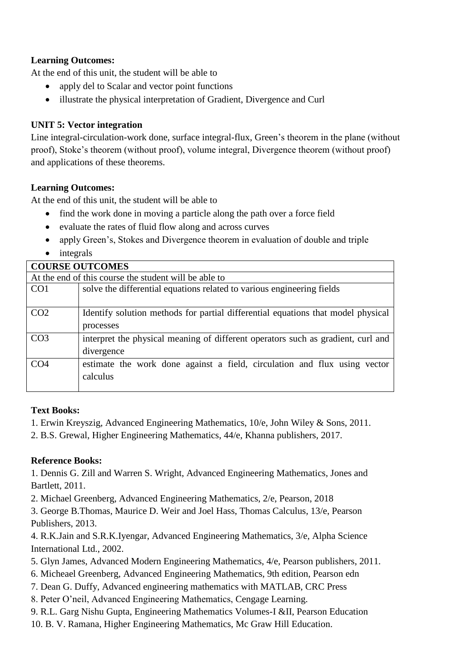# **Learning Outcomes:**

At the end of this unit, the student will be able to

- apply del to Scalar and vector point functions
- illustrate the physical interpretation of Gradient, Divergence and Curl

# **UNIT 5: Vector integration**

Line integral-circulation-work done, surface integral-flux, Green's theorem in the plane (without proof), Stoke's theorem (without proof), volume integral, Divergence theorem (without proof) and applications of these theorems.

# **Learning Outcomes:**

At the end of this unit, the student will be able to

- find the work done in moving a particle along the path over a force field
- evaluate the rates of fluid flow along and across curves
- apply Green's, Stokes and Divergence theorem in evaluation of double and triple
- integrals

|                 | <b>COURSE OUTCOMES</b>                                                           |  |  |  |  |  |  |  |
|-----------------|----------------------------------------------------------------------------------|--|--|--|--|--|--|--|
|                 | At the end of this course the student will be able to                            |  |  |  |  |  |  |  |
| CO <sub>1</sub> | solve the differential equations related to various engineering fields           |  |  |  |  |  |  |  |
|                 |                                                                                  |  |  |  |  |  |  |  |
| CO <sub>2</sub> | Identify solution methods for partial differential equations that model physical |  |  |  |  |  |  |  |
|                 | processes                                                                        |  |  |  |  |  |  |  |
| CO <sub>3</sub> | interpret the physical meaning of different operators such as gradient, curl and |  |  |  |  |  |  |  |
|                 | divergence                                                                       |  |  |  |  |  |  |  |
| CO <sub>4</sub> | estimate the work done against a field, circulation and flux using vector        |  |  |  |  |  |  |  |
|                 | calculus                                                                         |  |  |  |  |  |  |  |
|                 |                                                                                  |  |  |  |  |  |  |  |

#### **Text Books:**

1. Erwin Kreyszig, Advanced Engineering Mathematics, 10/e, John Wiley & Sons, 2011.

2. B.S. Grewal, Higher Engineering Mathematics, 44/e, Khanna publishers, 2017.

# **Reference Books:**

1. Dennis G. Zill and Warren S. Wright, Advanced Engineering Mathematics, Jones and Bartlett, 2011.

2. Michael Greenberg, Advanced Engineering Mathematics, 2/e, Pearson, 2018

3. George B.Thomas, Maurice D. Weir and Joel Hass, Thomas Calculus, 13/e, Pearson Publishers, 2013.

4. R.K.Jain and S.R.K.Iyengar, Advanced Engineering Mathematics, 3/e, Alpha Science International Ltd., 2002.

- 5. Glyn James, Advanced Modern Engineering Mathematics, 4/e, Pearson publishers, 2011.
- 6. Micheael Greenberg, Advanced Engineering Mathematics, 9th edition, Pearson edn
- 7. Dean G. Duffy, Advanced engineering mathematics with MATLAB, CRC Press
- 8. Peter O'neil, Advanced Engineering Mathematics, Cengage Learning.
- 9. R.L. Garg Nishu Gupta, Engineering Mathematics Volumes-I &II, Pearson Education
- 10. B. V. Ramana, Higher Engineering Mathematics, Mc Graw Hill Education.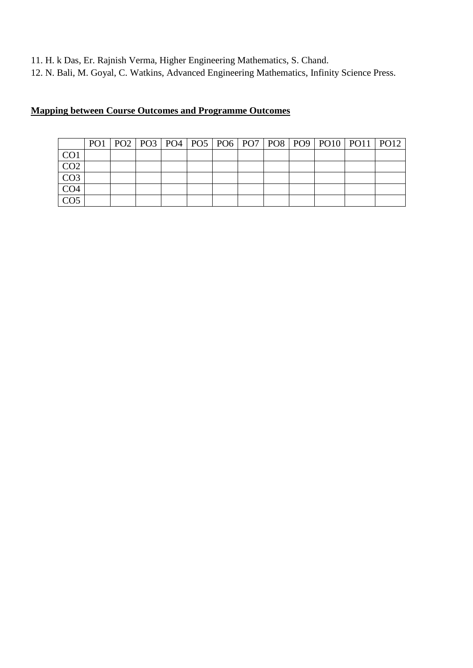11. H. k Das, Er. Rajnish Verma, Higher Engineering Mathematics, S. Chand.

12. N. Bali, M. Goyal, C. Watkins, Advanced Engineering Mathematics, Infinity Science Press.

|                 |  |  |  |  |  | PO1   PO2   PO3   PO4   PO5   PO6   PO7   PO8   PO9   PO10   PO11   PO12 |  |
|-----------------|--|--|--|--|--|--------------------------------------------------------------------------|--|
| CO <sub>1</sub> |  |  |  |  |  |                                                                          |  |
| CO <sub>2</sub> |  |  |  |  |  |                                                                          |  |
| CO <sub>3</sub> |  |  |  |  |  |                                                                          |  |
| CO <sub>4</sub> |  |  |  |  |  |                                                                          |  |
| CO <sub>5</sub> |  |  |  |  |  |                                                                          |  |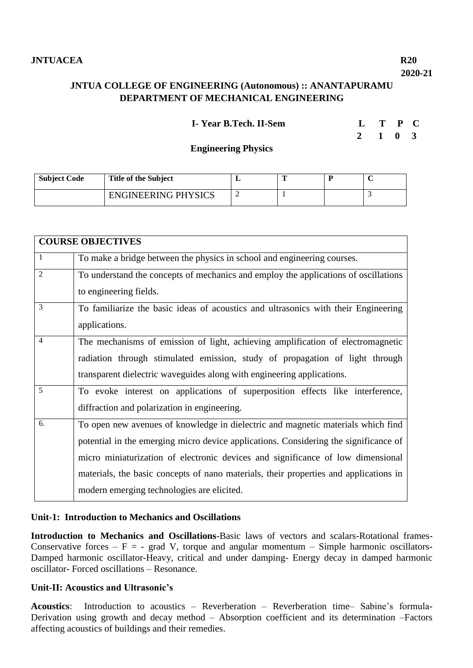# **JNTUA COLLEGE OF ENGINEERING (Autonomous) :: ANANTAPURAMU DEPARTMENT OF MECHANICAL ENGINEERING**

| I-Year B.Tech. II-Sem | L T P C |  |
|-----------------------|---------|--|
|                       |         |  |

 **2 1 0 3**

**Engineering Physics**

| <b>Subject Code</b> | <b>Title of the Subject</b> |  |  |
|---------------------|-----------------------------|--|--|
|                     | <b>ENGINEERING PHYSICS</b>  |  |  |

|                | <b>COURSE OBJECTIVES</b>                                                              |
|----------------|---------------------------------------------------------------------------------------|
| $\mathbf{1}$   | To make a bridge between the physics in school and engineering courses.               |
| $\overline{2}$ | To understand the concepts of mechanics and employ the applications of oscillations   |
|                | to engineering fields.                                                                |
| 3              | To familiarize the basic ideas of acoustics and ultrasonics with their Engineering    |
|                | applications.                                                                         |
| $\overline{4}$ | The mechanisms of emission of light, achieving amplification of electromagnetic       |
|                | radiation through stimulated emission, study of propagation of light through          |
|                | transparent dielectric waveguides along with engineering applications.                |
| 5              | To evoke interest on applications of superposition effects like interference,         |
|                | diffraction and polarization in engineering.                                          |
| 6.             | To open new avenues of knowledge in dielectric and magnetic materials which find      |
|                | potential in the emerging micro device applications. Considering the significance of  |
|                | micro miniaturization of electronic devices and significance of low dimensional       |
|                | materials, the basic concepts of nano materials, their properties and applications in |
|                | modern emerging technologies are elicited.                                            |

#### **Unit-1: Introduction to Mechanics and Oscillations**

**Introduction to Mechanics and Oscillations**-Basic laws of vectors and scalars-Rotational frames-Conservative forces –  $F = -$  grad V, torque and angular momentum – Simple harmonic oscillators-Damped harmonic oscillator-Heavy, critical and under damping- Energy decay in damped harmonic oscillator- Forced oscillations – Resonance.

# **Unit-II: Acoustics and Ultrasonic's**

**Acoustics**: Introduction to acoustics – Reverberation – Reverberation time– Sabine's formula-Derivation using growth and decay method – Absorption coefficient and its determination –Factors affecting acoustics of buildings and their remedies.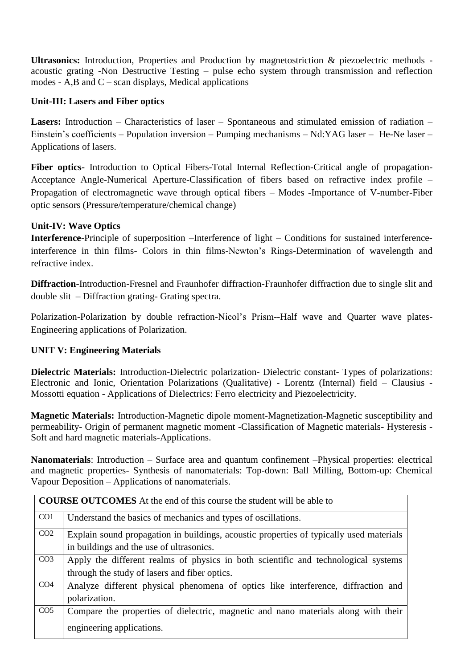**Ultrasonics:** Introduction, Properties and Production by magnetostriction & piezoelectric methods acoustic grating -Non Destructive Testing – pulse echo system through transmission and reflection modes - A,B and  $C$  – scan displays, Medical applications

# **Unit-III: Lasers and Fiber optics**

**Lasers:** Introduction – Characteristics of laser – Spontaneous and stimulated emission of radiation – Einstein's coefficients – Population inversion – Pumping mechanisms – Nd:YAG laser – He-Ne laser – Applications of lasers.

**Fiber optics-** Introduction to Optical Fibers-Total Internal Reflection-Critical angle of propagation-Acceptance Angle-Numerical Aperture-Classification of fibers based on refractive index profile – Propagation of electromagnetic wave through optical fibers – Modes -Importance of V-number-Fiber optic sensors (Pressure/temperature/chemical change)

# **Unit-IV: Wave Optics**

**Interference**-Principle of superposition –Interference of light – Conditions for sustained interferenceinterference in thin films- Colors in thin films-Newton's Rings-Determination of wavelength and refractive index.

**Diffraction**-Introduction-Fresnel and Fraunhofer diffraction-Fraunhofer diffraction due to single slit and double slit – Diffraction grating- Grating spectra.

Polarization-Polarization by double refraction-Nicol's Prism--Half wave and Quarter wave plates-Engineering applications of Polarization.

# **UNIT V: Engineering Materials**

**Dielectric Materials:** Introduction-Dielectric polarization- Dielectric constant- Types of polarizations: Electronic and Ionic, Orientation Polarizations (Qualitative) - Lorentz (Internal) field – Clausius - Mossotti equation - Applications of Dielectrics: Ferro electricity and Piezoelectricity.

**Magnetic Materials:** Introduction-Magnetic dipole moment-Magnetization-Magnetic susceptibility and permeability- Origin of permanent magnetic moment -Classification of Magnetic materials- Hysteresis - Soft and hard magnetic materials-Applications.

**Nanomaterials**: Introduction – Surface area and quantum confinement –Physical properties: electrical and magnetic properties- Synthesis of nanomaterials: Top-down: Ball Milling, Bottom-up: Chemical Vapour Deposition – Applications of nanomaterials.

|                 | <b>COURSE OUTCOMES</b> At the end of this course the student will be able to            |
|-----------------|-----------------------------------------------------------------------------------------|
| CO <sub>1</sub> | Understand the basics of mechanics and types of oscillations.                           |
| CO <sub>2</sub> | Explain sound propagation in buildings, acoustic properties of typically used materials |
|                 | in buildings and the use of ultrasonics.                                                |
| CO <sub>3</sub> | Apply the different realms of physics in both scientific and technological systems      |
|                 | through the study of lasers and fiber optics.                                           |
| CO <sub>4</sub> | Analyze different physical phenomena of optics like interference, diffraction and       |
|                 | polarization.                                                                           |
| CO <sub>5</sub> | Compare the properties of dielectric, magnetic and nano materials along with their      |
|                 | engineering applications.                                                               |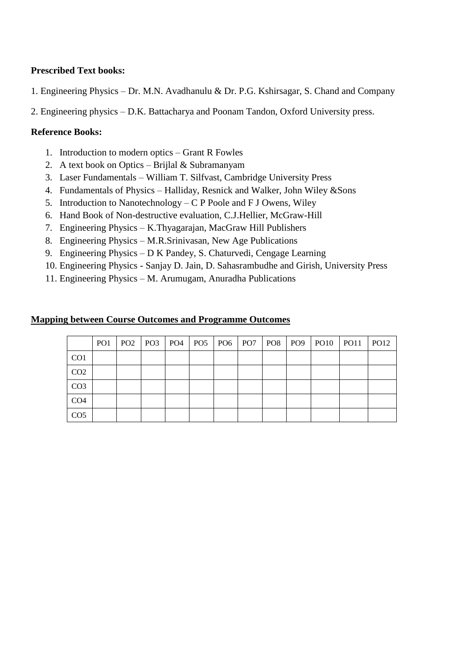# **Prescribed Text books:**

- 1. Engineering Physics Dr. M.N. Avadhanulu & Dr. P.G. Kshirsagar, S. Chand and Company
- 2. Engineering physics D.K. Battacharya and Poonam Tandon, Oxford University press.

## **Reference Books:**

- 1. Introduction to modern optics Grant R Fowles
- 2. A text book on Optics Brijlal & Subramanyam
- 3. Laser Fundamentals William T. Silfvast, Cambridge University Press
- 4. Fundamentals of Physics Halliday, Resnick and Walker, John Wiley &Sons
- 5. Introduction to Nanotechnology C P Poole and F J Owens, Wiley
- 6. Hand Book of Non-destructive evaluation, C.J.Hellier, McGraw-Hill
- 7. Engineering Physics K.Thyagarajan, MacGraw Hill Publishers
- 8. Engineering Physics M.R.Srinivasan, New Age Publications
- 9. Engineering Physics D K Pandey, S. Chaturvedi, Cengage Learning
- 10. Engineering Physics Sanjay D. Jain, D. Sahasrambudhe and Girish, University Press
- 11. Engineering Physics M. Arumugam, Anuradha Publications

|                 | PO <sub>1</sub> | PO2   PO3   PO4   PO5   PO6   PO7   PO8 |  |  |  |  | PO12 |
|-----------------|-----------------|-----------------------------------------|--|--|--|--|------|
| CO <sub>1</sub> |                 |                                         |  |  |  |  |      |
| CO <sub>2</sub> |                 |                                         |  |  |  |  |      |
| CO <sub>3</sub> |                 |                                         |  |  |  |  |      |
| CO <sub>4</sub> |                 |                                         |  |  |  |  |      |
| CO <sub>5</sub> |                 |                                         |  |  |  |  |      |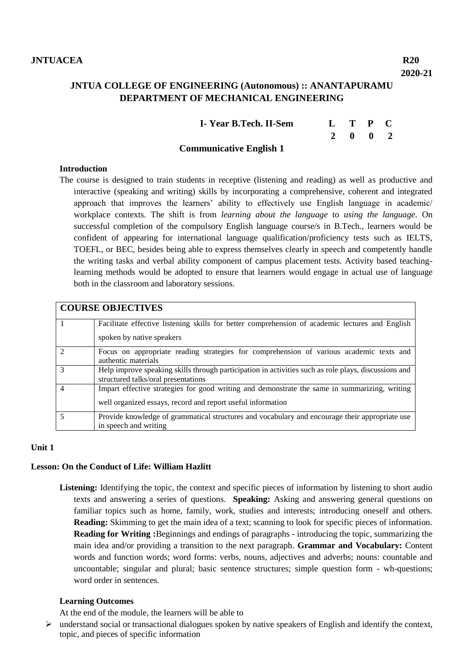# **JNTUA COLLEGE OF ENGINEERING (Autonomous) :: ANANTAPURAMU DEPARTMENT OF MECHANICAL ENGINEERING**

| I-Year B.Tech. II-Sem          | L T P C |  |  |
|--------------------------------|---------|--|--|
|                                | 2 0 0 2 |  |  |
| <b>Communicative English 1</b> |         |  |  |

#### **Introduction**

The course is designed to train students in receptive (listening and reading) as well as productive and interactive (speaking and writing) skills by incorporating a comprehensive, coherent and integrated approach that improves the learners' ability to effectively use English language in academic/ workplace contexts. The shift is from *learning about the language* to *using the language*. On successful completion of the compulsory English language course/s in B.Tech., learners would be confident of appearing for international language qualification/proficiency tests such as IELTS, TOEFL, or BEC, besides being able to express themselves clearly in speech and competently handle the writing tasks and verbal ability component of campus placement tests. Activity based teachinglearning methods would be adopted to ensure that learners would engage in actual use of language both in the classroom and laboratory sessions.

|                | <b>COURSE OBJECTIVES</b>                                                                                                                                     |
|----------------|--------------------------------------------------------------------------------------------------------------------------------------------------------------|
|                | Facilitate effective listening skills for better comprehension of academic lectures and English<br>spoken by native speakers                                 |
| $\mathcal{D}$  | Focus on appropriate reading strategies for comprehension of various academic texts and<br>authentic materials                                               |
| $\mathcal{R}$  | Help improve speaking skills through participation in activities such as role plays, discussions and<br>structured talks/oral presentations                  |
| $\overline{4}$ | Impart effective strategies for good writing and demonstrate the same in summarizing, writing<br>well organized essays, record and report useful information |
|                | Provide knowledge of grammatical structures and vocabulary and encourage their appropriate use<br>in speech and writing                                      |

#### **Unit 1**

#### **Lesson: On the Conduct of Life: William Hazlitt**

Listening: Identifying the topic, the context and specific pieces of information by listening to short audio texts and answering a series of questions. **Speaking:** Asking and answering general questions on familiar topics such as home, family, work, studies and interests; introducing oneself and others. **Reading:** Skimming to get the main idea of a text; scanning to look for specific pieces of information. **Reading for Writing :**Beginnings and endings of paragraphs - introducing the topic, summarizing the main idea and/or providing a transition to the next paragraph. **Grammar and Vocabulary:** Content words and function words; word forms: verbs, nouns, adjectives and adverbs; nouns: countable and uncountable; singular and plural; basic sentence structures; simple question form - wh-questions; word order in sentences.

#### **Learning Outcomes**

At the end of the module, the learners will be able to

 $\triangleright$  understand social or transactional dialogues spoken by native speakers of English and identify the context, topic, and pieces of specific information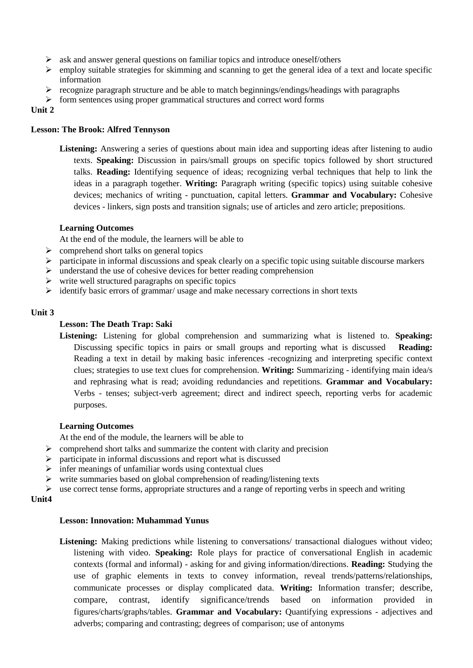- $\triangleright$  ask and answer general questions on familiar topics and introduce oneself/others
- $\triangleright$  employ suitable strategies for skimming and scanning to get the general idea of a text and locate specific information
- $\triangleright$  recognize paragraph structure and be able to match beginnings/endings/headings with paragraphs
- $\triangleright$  form sentences using proper grammatical structures and correct word forms

#### **Unit 2**

#### **Lesson: The Brook: Alfred Tennyson**

**Listening:** Answering a series of questions about main idea and supporting ideas after listening to audio texts. **Speaking:** Discussion in pairs/small groups on specific topics followed by short structured talks. **Reading:** Identifying sequence of ideas; recognizing verbal techniques that help to link the ideas in a paragraph together. **Writing:** Paragraph writing (specific topics) using suitable cohesive devices; mechanics of writing - punctuation, capital letters. **Grammar and Vocabulary:** Cohesive devices - linkers, sign posts and transition signals; use of articles and zero article; prepositions.

#### **Learning Outcomes**

At the end of the module, the learners will be able to

- $\triangleright$  comprehend short talks on general topics
- $\triangleright$  participate in informal discussions and speak clearly on a specific topic using suitable discourse markers
- $\triangleright$  understand the use of cohesive devices for better reading comprehension
- $\triangleright$  write well structured paragraphs on specific topics
- $\triangleright$  identify basic errors of grammar/ usage and make necessary corrections in short texts

#### **Unit 3**

#### **Lesson: The Death Trap: Saki**

**Listening:** Listening for global comprehension and summarizing what is listened to. **Speaking:** Discussing specific topics in pairs or small groups and reporting what is discussed **Reading:** Reading a text in detail by making basic inferences -recognizing and interpreting specific context clues; strategies to use text clues for comprehension. **Writing:** Summarizing - identifying main idea/s and rephrasing what is read; avoiding redundancies and repetitions. **Grammar and Vocabulary:** Verbs - tenses; subject-verb agreement; direct and indirect speech, reporting verbs for academic purposes.

#### **Learning Outcomes**

At the end of the module, the learners will be able to

- $\triangleright$  comprehend short talks and summarize the content with clarity and precision
- $\triangleright$  participate in informal discussions and report what is discussed
- $\triangleright$  infer meanings of unfamiliar words using contextual clues
- $\triangleright$  write summaries based on global comprehension of reading/listening texts

 $\triangleright$  use correct tense forms, appropriate structures and a range of reporting verbs in speech and writing

#### **Unit4**

#### **Lesson: Innovation: Muhammad Yunus**

**Listening:** Making predictions while listening to conversations/ transactional dialogues without video; listening with video. **Speaking:** Role plays for practice of conversational English in academic contexts (formal and informal) - asking for and giving information/directions. **Reading:** Studying the use of graphic elements in texts to convey information, reveal trends/patterns/relationships, communicate processes or display complicated data. **Writing:** Information transfer; describe, compare, contrast, identify significance/trends based on information provided in figures/charts/graphs/tables. **Grammar and Vocabulary:** Quantifying expressions - adjectives and adverbs; comparing and contrasting; degrees of comparison; use of antonyms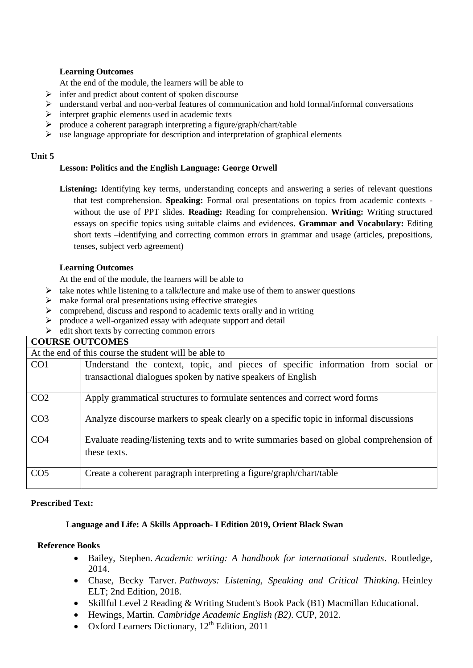#### **Learning Outcomes**

At the end of the module, the learners will be able to

- $\triangleright$  infer and predict about content of spoken discourse
- $\triangleright$  understand verbal and non-verbal features of communication and hold formal/informal conversations
- $\triangleright$  interpret graphic elements used in academic texts
- produce a coherent paragraph interpreting a figure/graph/chart/table
- $\triangleright$  use language appropriate for description and interpretation of graphical elements

#### **Unit 5**

#### **Lesson: Politics and the English Language: George Orwell**

Listening: Identifying key terms, understanding concepts and answering a series of relevant questions that test comprehension. **Speaking:** Formal oral presentations on topics from academic contexts without the use of PPT slides. **Reading:** Reading for comprehension. **Writing:** Writing structured essays on specific topics using suitable claims and evidences. **Grammar and Vocabulary:** Editing short texts –identifying and correcting common errors in grammar and usage (articles, prepositions, tenses, subject verb agreement)

#### **Learning Outcomes**

At the end of the module, the learners will be able to

- $\triangleright$  take notes while listening to a talk/lecture and make use of them to answer questions
- $\triangleright$  make formal oral presentations using effective strategies
- $\triangleright$  comprehend, discuss and respond to academic texts orally and in writing
- produce a well-organized essay with adequate support and detail
- $\triangleright$  edit short texts by correcting common errors

#### **COURSE OUTCOMES**

|                 | At the end of this course the student will be able to                                                    |  |  |  |  |  |  |  |  |
|-----------------|----------------------------------------------------------------------------------------------------------|--|--|--|--|--|--|--|--|
| CO <sub>1</sub> | Understand the context, topic, and pieces of specific information from social or                         |  |  |  |  |  |  |  |  |
|                 | transactional dialogues spoken by native speakers of English                                             |  |  |  |  |  |  |  |  |
| CO <sub>2</sub> | Apply grammatical structures to formulate sentences and correct word forms                               |  |  |  |  |  |  |  |  |
| CO <sub>3</sub> | Analyze discourse markers to speak clearly on a specific topic in informal discussions                   |  |  |  |  |  |  |  |  |
| CO <sub>4</sub> | Evaluate reading/listening texts and to write summaries based on global comprehension of<br>these texts. |  |  |  |  |  |  |  |  |
| CO <sub>5</sub> | Create a coherent paragraph interpreting a figure/graph/chart/table                                      |  |  |  |  |  |  |  |  |

#### **Prescribed Text:**

#### **Language and Life: A Skills Approach- I Edition 2019, Orient Black Swan**

#### **Reference Books**

- Bailey, Stephen. *Academic writing: A handbook for international students*. Routledge, 2014.
- Chase, Becky Tarver. *Pathways: Listening, Speaking and Critical Thinking.* Heinley ELT; 2nd Edition, 2018.
- Skillful Level 2 Reading & Writing Student's Book Pack (B1) Macmillan Educational.
- Hewings, Martin. *Cambridge Academic English (B2)*. CUP, 2012.
- Oxford Learners Dictionary, 12<sup>th</sup> Edition, 2011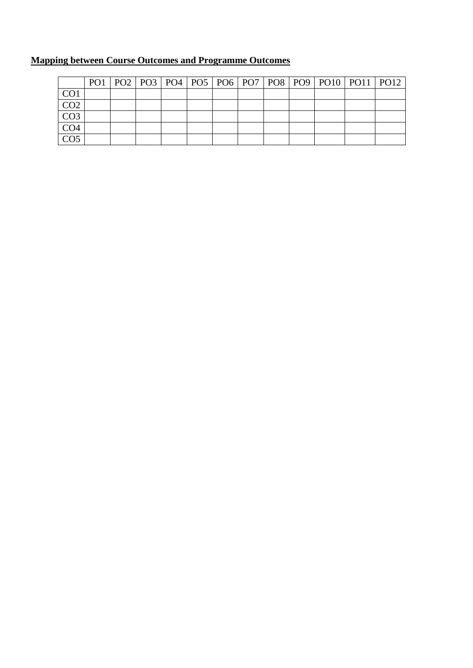|                  |  |  |  |  |  | PO1   PO2   PO3   PO4   PO5   PO6   PO7   PO8   PO9   PO10   PO11   PO12 |  |
|------------------|--|--|--|--|--|--------------------------------------------------------------------------|--|
| CO1              |  |  |  |  |  |                                                                          |  |
| CO <sub>2</sub>  |  |  |  |  |  |                                                                          |  |
| $\overline{CO3}$ |  |  |  |  |  |                                                                          |  |
| CO <sub>4</sub>  |  |  |  |  |  |                                                                          |  |
| CO <sub>5</sub>  |  |  |  |  |  |                                                                          |  |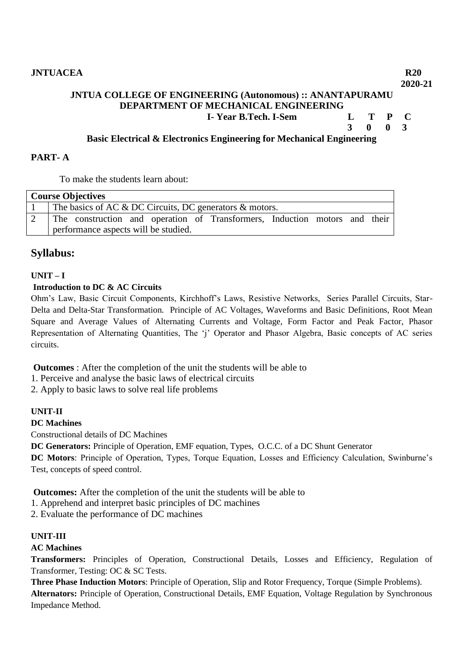# **JNTUA COLLEGE OF ENGINEERING (Autonomous) :: ANANTAPURAMU DEPARTMENT OF MECHANICAL ENGINEERING**

 **I- Year B.Tech. I-Sem L T P C**

 **3 0 0 3**

## **Basic Electrical & Electronics Engineering for Mechanical Engineering**

#### **PART- A**

To make the students learn about:

| <b>Course Objectives</b>                                                   |  |  |  |  |  |  |  |  |  |  |  |
|----------------------------------------------------------------------------|--|--|--|--|--|--|--|--|--|--|--|
| The basics of AC & DC Circuits, DC generators & motors.                    |  |  |  |  |  |  |  |  |  |  |  |
| The construction and operation of Transformers, Induction motors and their |  |  |  |  |  |  |  |  |  |  |  |
| performance aspects will be studied.                                       |  |  |  |  |  |  |  |  |  |  |  |

# **Syllabus:**

# **UNIT – I**

#### **Introduction to DC & AC Circuits**

Ohm's Law, Basic Circuit Components, Kirchhoff's Laws, Resistive Networks, Series Parallel Circuits, Star-Delta and Delta-Star Transformation. Principle of AC Voltages, Waveforms and Basic Definitions, Root Mean Square and Average Values of Alternating Currents and Voltage, Form Factor and Peak Factor, Phasor Representation of Alternating Quantities, The 'j' Operator and Phasor Algebra, Basic concepts of AC series circuits.

**Outcomes** : After the completion of the unit the students will be able to

1. Perceive and analyse the basic laws of electrical circuits

2. Apply to basic laws to solve real life problems

#### **UNIT-II**

#### **DC Machines**

Constructional details of DC Machines

**DC Generators:** Principle of Operation, EMF equation, Types, O.C.C. of a DC Shunt Generator

**DC Motors**: Principle of Operation, Types, Torque Equation, Losses and Efficiency Calculation, Swinburne's Test, concepts of speed control.

**Outcomes:** After the completion of the unit the students will be able to

1. Apprehend and interpret basic principles of DC machines

2. Evaluate the performance of DC machines

#### **UNIT-III**

#### **AC Machines**

**Transformers:** Principles of Operation, Constructional Details, Losses and Efficiency, Regulation of Transformer, Testing: OC & SC Tests.

**Three Phase Induction Motors**: Principle of Operation, Slip and Rotor Frequency, Torque (Simple Problems). **Alternators:** Principle of Operation, Constructional Details, EMF Equation, Voltage Regulation by Synchronous Impedance Method.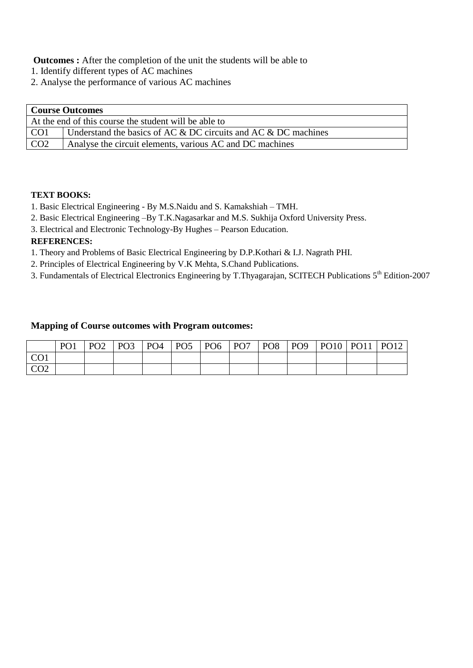**Outcomes :** After the completion of the unit the students will be able to

- 1. Identify different types of AC machines
- 2. Analyse the performance of various AC machines

| <b>Course Outcomes</b> |                                                                    |  |  |  |  |  |  |  |  |
|------------------------|--------------------------------------------------------------------|--|--|--|--|--|--|--|--|
|                        | At the end of this course the student will be able to              |  |  |  |  |  |  |  |  |
| CO <sub>1</sub>        | Understand the basics of AC $&$ DC circuits and AC $&$ DC machines |  |  |  |  |  |  |  |  |
| CO <sub>2</sub>        | Analyse the circuit elements, various AC and DC machines           |  |  |  |  |  |  |  |  |

# **TEXT BOOKS:**

- 1. Basic Electrical Engineering By M.S.Naidu and S. Kamakshiah TMH.
- 2. Basic Electrical Engineering –By T.K.Nagasarkar and M.S. Sukhija Oxford University Press.
- 3. Electrical and Electronic Technology-By Hughes Pearson Education.

# **REFERENCES:**

- 1. Theory and Problems of Basic Electrical Engineering by D.P.Kothari & I.J. Nagrath PHI.
- 2. Principles of Electrical Engineering by V.K Mehta, S.Chand Publications.
- 3. Fundamentals of Electrical Electronics Engineering by T.Thyagarajan, SCITECH Publications 5th Edition-2007

#### **Mapping of Course outcomes with Program outcomes:**

|                            | P <sub>O</sub> 1 | PO <sub>2</sub> | PO <sub>3</sub> | PO <sub>4</sub> | PO <sub>5</sub> | PO <sub>6</sub> | PO <sub>7</sub> | PO <sub>8</sub> | PO <sub>9</sub> | <b>PO10</b> | <b>PO11</b> | PO12 |
|----------------------------|------------------|-----------------|-----------------|-----------------|-----------------|-----------------|-----------------|-----------------|-----------------|-------------|-------------|------|
| $\Omega$ $\Omega$ 1<br>◡◡ェ |                  |                 |                 |                 |                 |                 |                 |                 |                 |             |             |      |
| $\cap$<br>◡◡▵              |                  |                 |                 |                 |                 |                 |                 |                 |                 |             |             |      |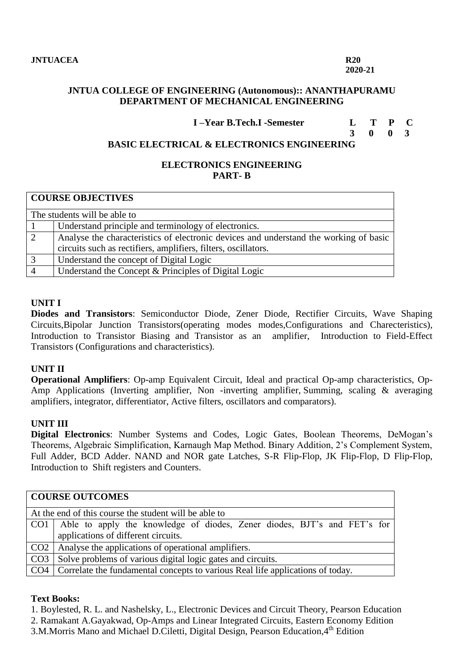**2020-21**

# **JNTUA COLLEGE OF ENGINEERING (Autonomous):: ANANTHAPURAMU DEPARTMENT OF MECHANICAL ENGINEERING**

**I –Year B.Tech.I -Semester L T P C**

 **3 0 0 3**

# **BASIC ELECTRICAL & ELECTRONICS ENGINEERING**

# **ELECTRONICS ENGINEERING PART- B**

|                | <b>COURSE OBJECTIVES</b>                                                              |
|----------------|---------------------------------------------------------------------------------------|
|                | The students will be able to                                                          |
|                | Understand principle and terminology of electronics.                                  |
| $\overline{2}$ | Analyse the characteristics of electronic devices and understand the working of basic |
|                | circuits such as rectifiers, amplifiers, filters, oscillators.                        |
| $\overline{3}$ | Understand the concept of Digital Logic                                               |
| $\overline{4}$ | Understand the Concept & Principles of Digital Logic                                  |

#### **UNIT I**

**Diodes and Transistors**: Semiconductor Diode, Zener Diode, Rectifier Circuits, Wave Shaping Circuits,Bipolar Junction Transistors(operating modes modes,Configurations and Charecteristics), Introduction to Transistor Biasing and Transistor as an amplifier, Introduction to Field-Effect Transistors (Configurations and characteristics).

#### **UNIT II**

**Operational Amplifiers**: Op-amp Equivalent Circuit, Ideal and practical Op-amp characteristics, Op-Amp Applications (Inverting amplifier, Non -inverting amplifier, Summing, scaling & averaging amplifiers, integrator, differentiator, Active filters, oscillators and comparators).

# **UNIT III**

**Digital Electronics**: Number Systems and Codes, Logic Gates, Boolean Theorems, DeMogan's Theorems, Algebraic Simplification, Karnaugh Map Method. Binary Addition, 2's Complement System, Full Adder, BCD Adder. NAND and NOR gate Latches, S-R Flip-Flop, JK Flip-Flop, D Flip-Flop, Introduction to Shift registers and Counters.

|                 | <b>COURSE OUTCOMES</b>                                                               |  |  |  |  |  |  |  |  |  |
|-----------------|--------------------------------------------------------------------------------------|--|--|--|--|--|--|--|--|--|
|                 |                                                                                      |  |  |  |  |  |  |  |  |  |
|                 | At the end of this course the student will be able to                                |  |  |  |  |  |  |  |  |  |
| CO <sub>1</sub> | Able to apply the knowledge of diodes, Zener diodes, BJT's and FET's for             |  |  |  |  |  |  |  |  |  |
|                 | applications of different circuits.                                                  |  |  |  |  |  |  |  |  |  |
|                 | CO2   Analyse the applications of operational amplifiers.                            |  |  |  |  |  |  |  |  |  |
| CO <sub>3</sub> | Solve problems of various digital logic gates and circuits.                          |  |  |  |  |  |  |  |  |  |
|                 | CO4   Correlate the fundamental concepts to various Real life applications of today. |  |  |  |  |  |  |  |  |  |

#### **Text Books:**

1. Boylested, R. L. and Nashelsky, L., Electronic Devices and Circuit Theory, Pearson Education 2. Ramakant A.Gayakwad, Op-Amps and Linear Integrated Circuits, Eastern Economy Edition 3.M.Morris Mano and Michael D.Ciletti, Digital Design, Pearson Education, 4<sup>th</sup> Edition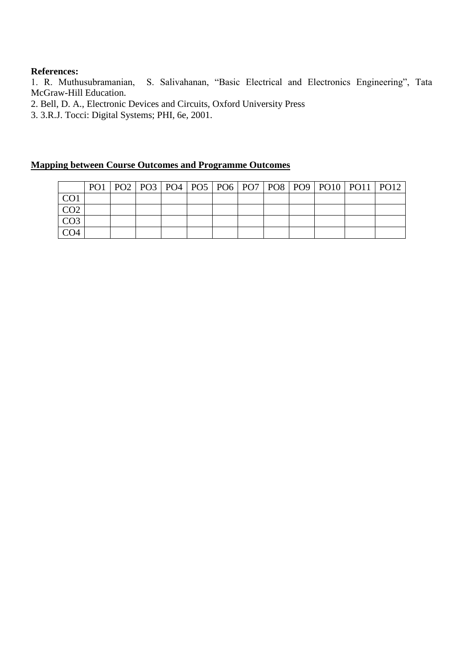# **References:**

1. R. Muthusubramanian, S. Salivahanan, "Basic Electrical and Electronics Engineering", Tata McGraw-Hill Education.

2. Bell, D. A., Electronic Devices and Circuits, Oxford University Press

3. 3.R.J. Tocci: Digital Systems; PHI, 6e, 2001.

|                 |  |  |  |  |  | PO1   PO2   PO3   PO4   PO5   PO6   PO7   PO8   PO9   PO10   PO11   PO12 |  |
|-----------------|--|--|--|--|--|--------------------------------------------------------------------------|--|
| CO <sub>1</sub> |  |  |  |  |  |                                                                          |  |
| CO <sub>2</sub> |  |  |  |  |  |                                                                          |  |
| CO3             |  |  |  |  |  |                                                                          |  |
|                 |  |  |  |  |  |                                                                          |  |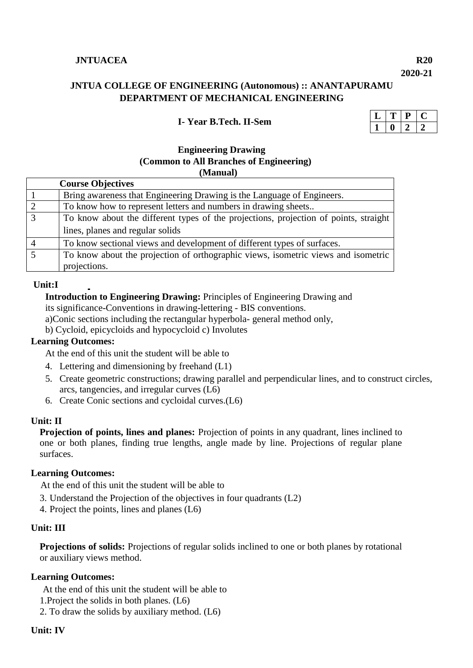# **JNTUACEA R20**

**2020-21**

# **JNTUA COLLEGE OF ENGINEERING (Autonomous) :: ANANTAPURAMU DEPARTMENT OF MECHANICAL ENGINEERING**

## **I- Year B.Tech. II-Sem**

# **Engineering Drawing (Common to All Branches of Engineering) (Manual)**

| <b>Course Objectives</b>                                                             |
|--------------------------------------------------------------------------------------|
| Bring awareness that Engineering Drawing is the Language of Engineers.               |
| To know how to represent letters and numbers in drawing sheets                       |
| To know about the different types of the projections, projection of points, straight |
| lines, planes and regular solids                                                     |
| To know sectional views and development of different types of surfaces.              |
| To know about the projection of orthographic views, isometric views and isometric    |
| projections.                                                                         |

#### **Unit:I**

 **Introduction to Engineering Drawing:** Principles of Engineering Drawing and its significance-Conventions in drawing-lettering - BIS conventions.

a)Conic sections including the rectangular hyperbola- general method only,

b) Cycloid, epicycloids and hypocycloid c) Involutes

#### **Learning Outcomes:**

At the end of this unit the student will be able to

- 4. Lettering and dimensioning by freehand (L1)
- 5. Create geometric constructions; drawing parallel and perpendicular lines, and to construct circles, arcs, tangencies, and irregular curves (L6)
- 6. Create Conic sections and cycloidal curves.(L6)

#### **Unit: II**

**Projection of points, lines and planes:** Projection of points in any quadrant, lines inclined to one or both planes, finding true lengths, angle made by line. Projections of regular plane surfaces.

#### **Learning Outcomes:**

At the end of this unit the student will be able to

- 3. Understand the Projection of the objectives in four quadrants (L2)
- 4. Project the points, lines and planes (L6)

#### **Unit: III**

**Projections of solids:** Projections of regular solids inclined to one or both planes by rotational or auxiliary views method.

#### **Learning Outcomes:**

At the end of this unit the student will be able to

- 1.Project the solids in both planes. (L6)
- 2. To draw the solids by auxiliary method. (L6)

#### **Unit: IV**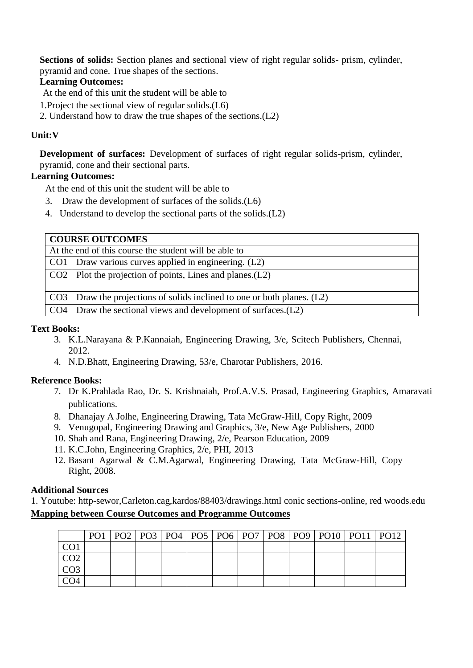**Sections of solids:** Section planes and sectional view of right regular solids- prism, cylinder, pyramid and cone. True shapes of the sections.

# **Learning Outcomes:**

At the end of this unit the student will be able to

- 1.Project the sectional view of regular solids.(L6)
- 2. Understand how to draw the true shapes of the sections.(L2)

# **Unit:V**

**Development of surfaces:** Development of surfaces of right regular solids-prism, cylinder, pyramid, cone and their sectional parts.

# **Learning Outcomes:**

At the end of this unit the student will be able to

- 3. Draw the development of surfaces of the solids.(L6)
- 4. Understand to develop the sectional parts of the solids.(L2)

| <b>COURSE OUTCOMES</b>                                                    |  |  |  |  |  |  |  |  |
|---------------------------------------------------------------------------|--|--|--|--|--|--|--|--|
| At the end of this course the student will be able to                     |  |  |  |  |  |  |  |  |
| $CO1$ Draw various curves applied in engineering. (L2)                    |  |  |  |  |  |  |  |  |
| $\vert$ CO2 $\vert$ Plot the projection of points, Lines and planes. (L2) |  |  |  |  |  |  |  |  |
| $CO3$ Draw the projections of solids inclined to one or both planes. (L2) |  |  |  |  |  |  |  |  |
|                                                                           |  |  |  |  |  |  |  |  |
| $CO4$ Draw the sectional views and development of surfaces. $(L2)$        |  |  |  |  |  |  |  |  |

# **Text Books:**

- 3. K.L.Narayana & P.Kannaiah, Engineering Drawing, 3/e, Scitech Publishers, Chennai, 2012.
- 4. N.D.Bhatt, Engineering Drawing, 53/e, Charotar Publishers, 2016.

# **Reference Books:**

- 7. Dr K.Prahlada Rao, Dr. S. Krishnaiah, Prof.A.V.S. Prasad, Engineering Graphics, Amaravati publications.
- 8. Dhanajay A Jolhe, Engineering Drawing, Tata McGraw-Hill, Copy Right, 2009
- 9. Venugopal, Engineering Drawing and Graphics, 3/e, New Age Publishers, 2000
- 10. Shah and Rana, Engineering Drawing, 2/e, Pearson Education, 2009
- 11. K.C.John, Engineering Graphics, 2/e, PHI, 2013
- 12. Basant Agarwal & C.M.Agarwal, Engineering Drawing, Tata McGraw-Hill, Copy Right, 2008.

# **Additional Sources**

1. Youtube: http-sewor,Carleton.cag,kardos/88403/drawings.html conic sections-online, red woods.edu **Mapping between Course Outcomes and Programme Outcomes** 

|  |  |  |  |  | PO1   PO2   PO3   PO4   PO5   PO6   PO7   PO8   PO9   PO10   PO11   PO12 |  |
|--|--|--|--|--|--------------------------------------------------------------------------|--|
|  |  |  |  |  |                                                                          |  |
|  |  |  |  |  |                                                                          |  |
|  |  |  |  |  |                                                                          |  |
|  |  |  |  |  |                                                                          |  |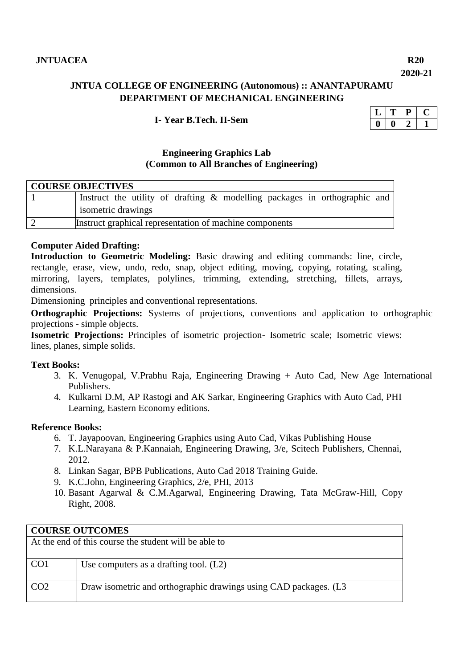**2020-21**

# **JNTUA COLLEGE OF ENGINEERING (Autonomous) :: ANANTAPURAMU DEPARTMENT OF MECHANICAL ENGINEERING**

# **I- Year B.Tech. II-Sem**

# **Engineering Graphics Lab (Common to All Branches of Engineering)**

| <b>COURSE OBJECTIVES</b> |                                                                           |  |  |  |  |  |  |  |  |  |
|--------------------------|---------------------------------------------------------------------------|--|--|--|--|--|--|--|--|--|
|                          | Instruct the utility of drafting & modelling packages in orthographic and |  |  |  |  |  |  |  |  |  |
|                          | isometric drawings                                                        |  |  |  |  |  |  |  |  |  |
|                          | Instruct graphical representation of machine components                   |  |  |  |  |  |  |  |  |  |

#### **Computer Aided Drafting:**

**Introduction to Geometric Modeling:** Basic drawing and editing commands: line, circle, rectangle, erase, view, undo, redo, snap, object editing, moving, copying, rotating, scaling, mirroring, layers, templates, polylines, trimming, extending, stretching, fillets, arrays, dimensions.

Dimensioning principles and conventional representations.

**Orthographic Projections:** Systems of projections, conventions and application to orthographic projections - simple objects.

**Isometric Projections:** Principles of isometric projection- Isometric scale; Isometric views: lines, planes, simple solids.

#### **Text Books:**

- 3. K. Venugopal, V.Prabhu Raja, Engineering Drawing + Auto Cad, New Age International Publishers.
- 4. Kulkarni D.M, AP Rastogi and AK Sarkar, Engineering Graphics with Auto Cad, PHI Learning, Eastern Economy editions.

#### **Reference Books:**

- 6. T. Jayapoovan, Engineering Graphics using Auto Cad, Vikas Publishing House
- 7. K.L.Narayana & P.Kannaiah, Engineering Drawing, 3/e, Scitech Publishers, Chennai, 2012.
- 8. Linkan Sagar, BPB Publications, Auto Cad 2018 Training Guide.
- 9. K.C.John, Engineering Graphics, 2/e, PHI, 2013
- 10. Basant Agarwal & C.M.Agarwal, Engineering Drawing, Tata McGraw-Hill, Copy Right, 2008.

|                                                       | <b>COURSE OUTCOMES</b>                                           |  |  |  |  |  |  |  |  |  |
|-------------------------------------------------------|------------------------------------------------------------------|--|--|--|--|--|--|--|--|--|
| At the end of this course the student will be able to |                                                                  |  |  |  |  |  |  |  |  |  |
|                                                       |                                                                  |  |  |  |  |  |  |  |  |  |
| CO <sub>1</sub>                                       | Use computers as a drafting tool. $(L2)$                         |  |  |  |  |  |  |  |  |  |
|                                                       |                                                                  |  |  |  |  |  |  |  |  |  |
| CO <sub>2</sub>                                       | Draw isometric and orthographic drawings using CAD packages. (L3 |  |  |  |  |  |  |  |  |  |
|                                                       |                                                                  |  |  |  |  |  |  |  |  |  |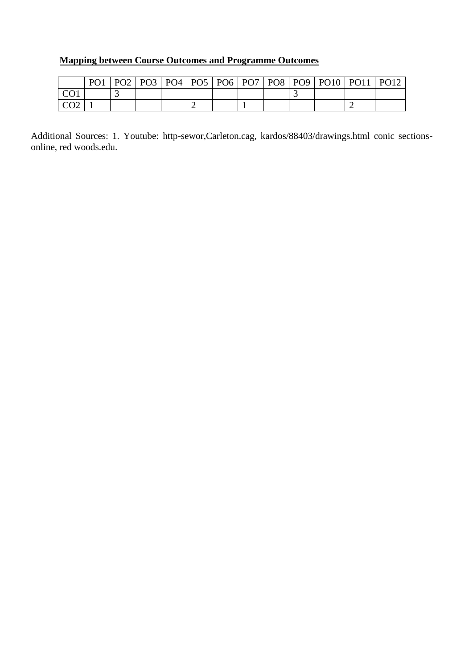# **Mapping between Course Outcomes and Programme Outcomes**

|                                  | PO <sub>1</sub> | PO2 | PO <sub>3</sub> | PO <sub>4</sub> | PO5   PO6   PO7   PO8   PO9 |  | <b>PO10</b> | <b>PO11</b> | <b>PO12</b> |
|----------------------------------|-----------------|-----|-----------------|-----------------|-----------------------------|--|-------------|-------------|-------------|
| $\sqrt{C}$                       |                 |     |                 |                 |                             |  |             |             |             |
| $\sqrt{2}$<br>$\mathcal{L}^{02}$ |                 |     |                 |                 |                             |  |             |             |             |

Additional Sources: 1. Youtube: http-sewor,Carleton.cag, kardos/88403/drawings.html conic sectionsonline, red woods.edu.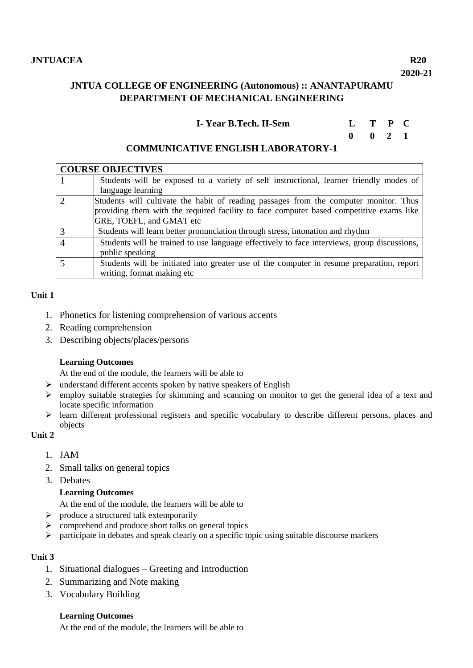# **JNTUA COLLEGE OF ENGINEERING (Autonomous) :: ANANTAPURAMU DEPARTMENT OF MECHANICAL ENGINEERING**

**I- Year B.Tech. II-Sem L T P C**

 **0 0 2 1**

# **COMMUNICATIVE ENGLISH LABORATORY-1**

|                             | <b>COURSE OBJECTIVES</b>                                                                    |
|-----------------------------|---------------------------------------------------------------------------------------------|
|                             | Students will be exposed to a variety of self instructional, learner friendly modes of      |
|                             | language learning                                                                           |
| $\mathcal{D}_{\mathcal{L}}$ | Students will cultivate the habit of reading passages from the computer monitor. Thus       |
|                             | providing them with the required facility to face computer based competitive exams like     |
|                             | GRE, TOEFL, and GMAT etc                                                                    |
| 3                           | Students will learn better pronunciation through stress, intonation and rhythm              |
| $\overline{4}$              | Students will be trained to use language effectively to face interviews, group discussions, |
|                             | public speaking                                                                             |
|                             | Students will be initiated into greater use of the computer in resume preparation, report   |
|                             | writing, format making etc                                                                  |

# **Unit 1**

- 1. Phonetics for listening comprehension of various accents
- 2. Reading comprehension
- 3. Describing objects/places/persons

#### **Learning Outcomes**

At the end of the module, the learners will be able to

- $\triangleright$  understand different accents spoken by native speakers of English
- $\triangleright$  employ suitable strategies for skimming and scanning on monitor to get the general idea of a text and locate specific information
- $\triangleright$  learn different professional registers and specific vocabulary to describe different persons, places and objects

# **Unit 2**

- 1. JAM
- 2. Small talks on general topics
- 3. Debates

# **Learning Outcomes**

At the end of the module, the learners will be able to

- $\triangleright$  produce a structured talk extemporarily
- $\triangleright$  comprehend and produce short talks on general topics
- $\triangleright$  participate in debates and speak clearly on a specific topic using suitable discourse markers

#### **Unit 3**

- 1. Situational dialogues Greeting and Introduction
- 2. Summarizing and Note making
- 3. Vocabulary Building

#### **Learning Outcomes**

At the end of the module, the learners will be able to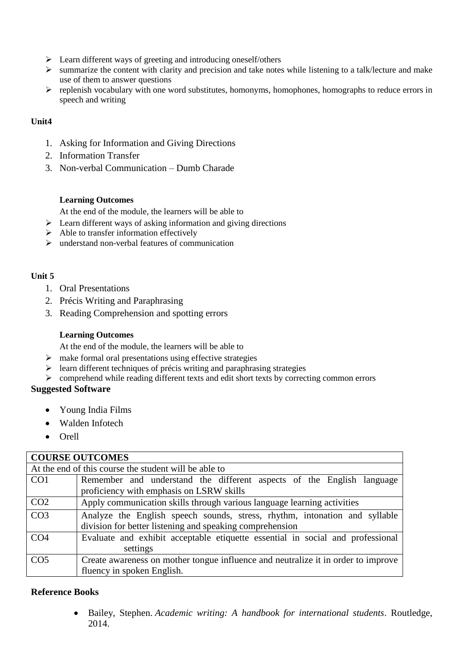- $\triangleright$  Learn different ways of greeting and introducing oneself/others
- $\triangleright$  summarize the content with clarity and precision and take notes while listening to a talk/lecture and make use of them to answer questions
- $\triangleright$  replenish vocabulary with one word substitutes, homonyms, homophones, homographs to reduce errors in speech and writing

# **Unit4**

- 1. Asking for Information and Giving Directions
- 2. Information Transfer
- 3. Non-verbal Communication Dumb Charade

#### **Learning Outcomes**

At the end of the module, the learners will be able to

- $\triangleright$  Learn different ways of asking information and giving directions
- $\triangleright$  Able to transfer information effectively
- $\triangleright$  understand non-verbal features of communication

# **Unit 5**

- 1. Oral Presentations
- 2. Précis Writing and Paraphrasing
- 3. Reading Comprehension and spotting errors

#### **Learning Outcomes**

At the end of the module, the learners will be able to

- $\triangleright$  make formal oral presentations using effective strategies
- $\triangleright$  learn different techniques of précis writing and paraphrasing strategies
- comprehend while reading different texts and edit short texts by correcting common errors

# **Suggested Software**

- Young India Films
- Walden Infotech
- Orell

| <b>COURSE OUTCOMES</b>                                |                                                                                   |  |  |  |  |  |  |  |  |  |
|-------------------------------------------------------|-----------------------------------------------------------------------------------|--|--|--|--|--|--|--|--|--|
| At the end of this course the student will be able to |                                                                                   |  |  |  |  |  |  |  |  |  |
| CO <sub>1</sub>                                       | Remember and understand the different aspects of the English language             |  |  |  |  |  |  |  |  |  |
|                                                       | proficiency with emphasis on LSRW skills                                          |  |  |  |  |  |  |  |  |  |
| CO <sub>2</sub>                                       | Apply communication skills through various language learning activities           |  |  |  |  |  |  |  |  |  |
| CO <sub>3</sub>                                       | Analyze the English speech sounds, stress, rhythm, intonation and syllable        |  |  |  |  |  |  |  |  |  |
|                                                       | division for better listening and speaking comprehension                          |  |  |  |  |  |  |  |  |  |
| CO <sub>4</sub>                                       | Evaluate and exhibit acceptable etiquette essential in social and professional    |  |  |  |  |  |  |  |  |  |
|                                                       | settings                                                                          |  |  |  |  |  |  |  |  |  |
| CO <sub>5</sub>                                       | Create awareness on mother tongue influence and neutralize it in order to improve |  |  |  |  |  |  |  |  |  |
|                                                       | fluency in spoken English.                                                        |  |  |  |  |  |  |  |  |  |

#### **Reference Books**

 Bailey, Stephen. *Academic writing: A handbook for international students*. Routledge, 2014.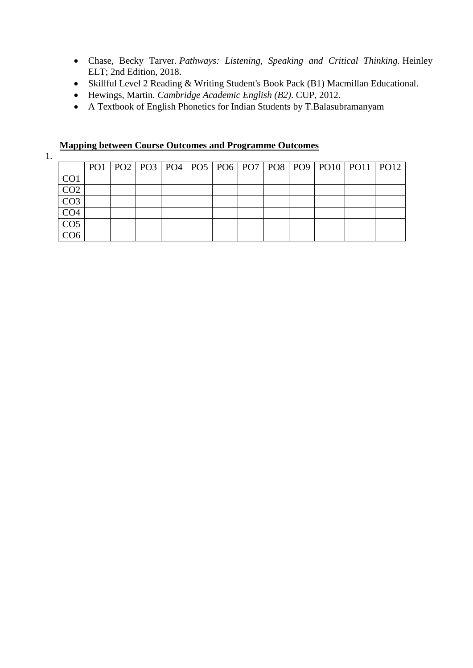- Chase, Becky Tarver. *Pathways: Listening, Speaking and Critical Thinking.* Heinley ELT; 2nd Edition, 2018.
- Skillful Level 2 Reading & Writing Student's Book Pack (B1) Macmillan Educational.
- Hewings, Martin. *Cambridge Academic English (B2)*. CUP, 2012.
- A Textbook of English Phonetics for Indian Students by T.Balasubramanyam

|  |  | <b>Mapping between Course Outcomes and Programme Outcomes</b> |  |
|--|--|---------------------------------------------------------------|--|
|  |  |                                                               |  |

1.

|                  |  |  |  |  |  | PO1   PO2   PO3   PO4   PO5   PO6   PO7   PO8   PO9   PO10   PO11   PO12 |  |
|------------------|--|--|--|--|--|--------------------------------------------------------------------------|--|
| CO <sub>1</sub>  |  |  |  |  |  |                                                                          |  |
| CO <sub>2</sub>  |  |  |  |  |  |                                                                          |  |
| $\overline{CO3}$ |  |  |  |  |  |                                                                          |  |
| CO <sub>4</sub>  |  |  |  |  |  |                                                                          |  |
| CO <sub>5</sub>  |  |  |  |  |  |                                                                          |  |
| $\overline{CO6}$ |  |  |  |  |  |                                                                          |  |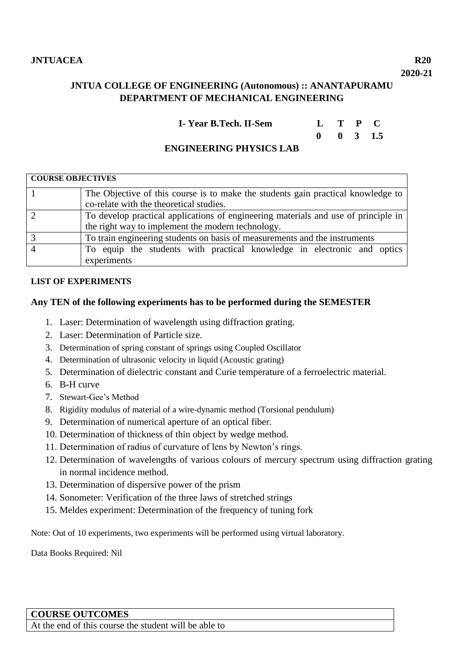# **JNTUA COLLEGE OF ENGINEERING (Autonomous) :: ANANTAPURAMU DEPARTMENT OF MECHANICAL ENGINEERING**

| I-Year B.Tech. II-Sem | $L$ T P C |                      |  |
|-----------------------|-----------|----------------------|--|
|                       |           | $0 \t 0 \t 3 \t 1.5$ |  |

# **ENGINEERING PHYSICS LAB**

| <b>COURSE OBJECTIVES</b> |                                                                                    |  |  |  |  |  |  |  |  |  |
|--------------------------|------------------------------------------------------------------------------------|--|--|--|--|--|--|--|--|--|
|                          | The Objective of this course is to make the students gain practical knowledge to   |  |  |  |  |  |  |  |  |  |
|                          | co-relate with the theoretical studies.                                            |  |  |  |  |  |  |  |  |  |
|                          | To develop practical applications of engineering materials and use of principle in |  |  |  |  |  |  |  |  |  |
|                          | the right way to implement the modern technology.                                  |  |  |  |  |  |  |  |  |  |
|                          | To train engineering students on basis of measurements and the instruments         |  |  |  |  |  |  |  |  |  |
|                          | To equip the students with practical knowledge in electronic and optics            |  |  |  |  |  |  |  |  |  |
|                          | experiments                                                                        |  |  |  |  |  |  |  |  |  |

#### **LIST OF EXPERIMENTS**

# **Any TEN of the following experiments has to be performed during the SEMESTER**

- 1. Laser: Determination of wavelength using diffraction grating.
- 2. Laser: Determination of Particle size.
- 3. Determination of spring constant of springs using Coupled Oscillator
- 4. Determination of ultrasonic velocity in liquid (Acoustic grating)
- 5. Determination of dielectric constant and Curie temperature of a ferroelectric material.
- 6. B**-**H curve
- 7. Stewart-Gee's Method
- 8. Rigidity modulus of material of a wire-dynamic method (Torsional pendulum)
- 9. Determination of numerical aperture of an optical fiber.
- 10. Determination of thickness of thin object by wedge method.
- 11. Determination of radius of curvature of lens by Newton's rings.
- 12. Determination of wavelengths of various colours of mercury spectrum using diffraction grating in normal incidence method.
- 13. Determination of dispersive power of the prism
- 14. Sonometer: Verification of the three laws of stretched strings
- 15. Meldes experiment: Determination of the frequency of tuning fork

Note: Out of 10 experiments, two experiments will be performed using virtual laboratory.

Data Books Required: Nil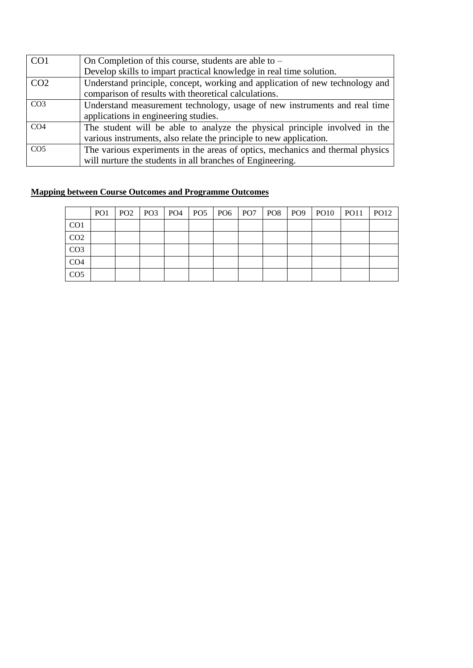| CO <sub>1</sub> | On Completion of this course, students are able to $-$                        |
|-----------------|-------------------------------------------------------------------------------|
|                 | Develop skills to impart practical knowledge in real time solution.           |
| CO <sub>2</sub> | Understand principle, concept, working and application of new technology and  |
|                 | comparison of results with theoretical calculations.                          |
| CO <sub>3</sub> | Understand measurement technology, usage of new instruments and real time     |
|                 | applications in engineering studies.                                          |
| CO <sub>4</sub> | The student will be able to analyze the physical principle involved in the    |
|                 | various instruments, also relate the principle to new application.            |
| CO <sub>5</sub> | The various experiments in the areas of optics, mechanics and thermal physics |
|                 | will nurture the students in all branches of Engineering.                     |

|                 | PO <sub>1</sub> |  |  |  |  | PO2   PO3   PO4   PO5   PO6   PO7   PO8   PO9   PO10   PO11   PO12 |  |
|-----------------|-----------------|--|--|--|--|--------------------------------------------------------------------|--|
| CO <sub>1</sub> |                 |  |  |  |  |                                                                    |  |
| CO <sub>2</sub> |                 |  |  |  |  |                                                                    |  |
| CO <sub>3</sub> |                 |  |  |  |  |                                                                    |  |
| CO <sub>4</sub> |                 |  |  |  |  |                                                                    |  |
| CO <sub>5</sub> |                 |  |  |  |  |                                                                    |  |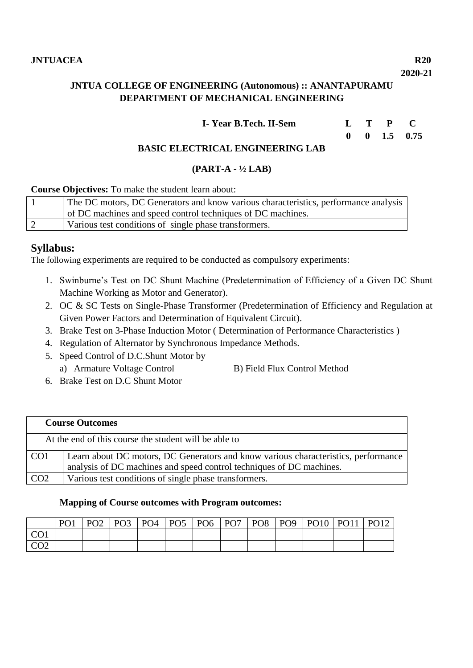# **JNTUA COLLEGE OF ENGINEERING (Autonomous) :: ANANTAPURAMU DEPARTMENT OF MECHANICAL ENGINEERING**

| I-Year B.Tech. II-Sem | $L$ T P |  |
|-----------------------|---------|--|
|                       |         |  |

#### **0 0 1.5 0.75 BASIC ELECTRICAL ENGINEERING LAB**

# **(PART-A - ½ LAB)**

**Course Objectives:** To make the student learn about:

| The DC motors, DC Generators and know various characteristics, performance analysis |
|-------------------------------------------------------------------------------------|
| of DC machines and speed control techniques of DC machines.                         |
| Various test conditions of single phase transformers.                               |

# **Syllabus:**

The following experiments are required to be conducted as compulsory experiments:

- 1. Swinburne's Test on DC Shunt Machine (Predetermination of Efficiency of a Given DC Shunt Machine Working as Motor and Generator).
- 2. OC & SC Tests on Single-Phase Transformer (Predetermination of Efficiency and Regulation at Given Power Factors and Determination of Equivalent Circuit).
- 3. Brake Test on 3-Phase Induction Motor ( Determination of Performance Characteristics )
- 4. Regulation of Alternator by Synchronous Impedance Methods.
- 5. Speed Control of D.C.Shunt Motor by
	- a) Armature Voltage Control B) Field Flux Control Method
- 6. Brake Test on D.C Shunt Motor

|                 | <b>Course Outcomes</b>                                                                                                                                     |  |  |  |  |  |  |
|-----------------|------------------------------------------------------------------------------------------------------------------------------------------------------------|--|--|--|--|--|--|
|                 | At the end of this course the student will be able to                                                                                                      |  |  |  |  |  |  |
| CO <sub>1</sub> | Learn about DC motors, DC Generators and know various characteristics, performance<br>analysis of DC machines and speed control techniques of DC machines. |  |  |  |  |  |  |
| CO <sub>2</sub> | Various test conditions of single phase transformers.                                                                                                      |  |  |  |  |  |  |

## **Mapping of Course outcomes with Program outcomes:**

|               | PO <sub>1</sub> | PO2 | PO <sub>3</sub> | PO <sub>4</sub> | PO <sub>5</sub> | PO <sub>6</sub> | PO <sub>7</sub> | PO <sub>8</sub> | PO <sub>9</sub> | <b>PO10</b> | <b>PO11</b> | PO12 |
|---------------|-----------------|-----|-----------------|-----------------|-----------------|-----------------|-----------------|-----------------|-----------------|-------------|-------------|------|
| $\cap$ 1      |                 |     |                 |                 |                 |                 |                 |                 |                 |             |             |      |
| $\cap$<br>◡◡▱ |                 |     |                 |                 |                 |                 |                 |                 |                 |             |             |      |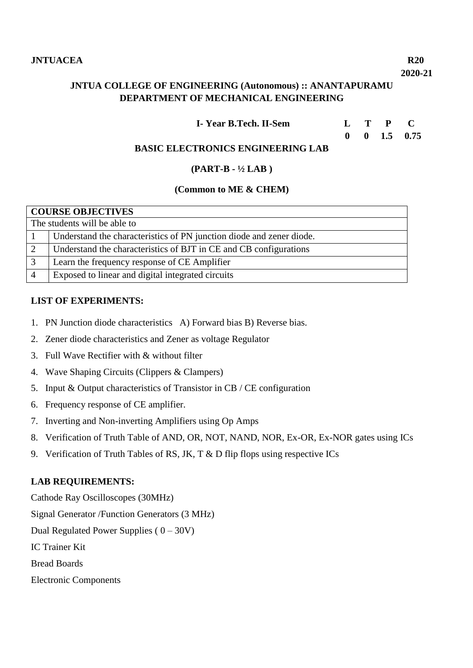#### **2020-21**

# **JNTUA COLLEGE OF ENGINEERING (Autonomous) :: ANANTAPURAMU DEPARTMENT OF MECHANICAL ENGINEERING**

#### **0 0 1.5 0.75**

# **BASIC ELECTRONICS ENGINEERING LAB**

# **(PART-B - ½ LAB )**

#### **(Common to ME & CHEM)**

|                    | <b>COURSE OBJECTIVES</b>                                             |  |  |  |  |  |  |
|--------------------|----------------------------------------------------------------------|--|--|--|--|--|--|
|                    | The students will be able to                                         |  |  |  |  |  |  |
|                    | Understand the characteristics of PN junction diode and zener diode. |  |  |  |  |  |  |
| 2                  | Understand the characteristics of BJT in CE and CB configurations    |  |  |  |  |  |  |
| 3                  | Learn the frequency response of CE Amplifier                         |  |  |  |  |  |  |
| $\mathbf{\Lambda}$ | Exposed to linear and digital integrated circuits                    |  |  |  |  |  |  |

#### **LIST OF EXPERIMENTS:**

- 1. PN Junction diode characteristics A) Forward bias B) Reverse bias.
- 2. Zener diode characteristics and Zener as voltage Regulator
- 3. Full Wave Rectifier with & without filter
- 4. Wave Shaping Circuits (Clippers & Clampers)
- 5. Input & Output characteristics of Transistor in CB / CE configuration
- 6. Frequency response of CE amplifier.
- 7. Inverting and Non-inverting Amplifiers using Op Amps
- 8. Verification of Truth Table of AND, OR, NOT, NAND, NOR, Ex-OR, Ex-NOR gates using ICs
- 9. Verification of Truth Tables of RS, JK, T & D flip flops using respective ICs

# **LAB REQUIREMENTS:**

Cathode Ray Oscilloscopes (30MHz) Signal Generator /Function Generators (3 MHz) Dual Regulated Power Supplies ( 0 – 30V) IC Trainer Kit Bread Boards Electronic Components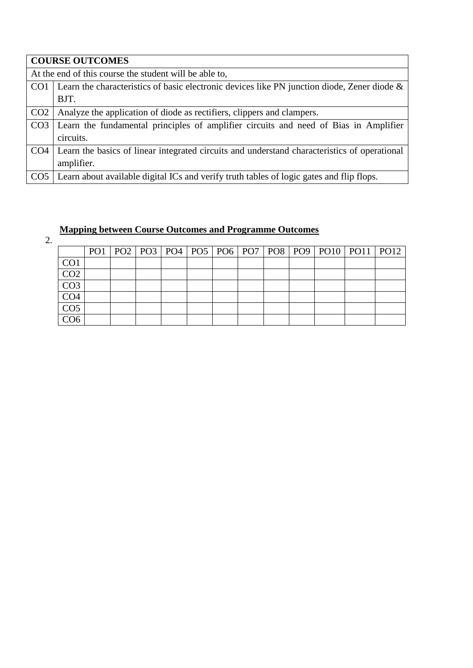|                 | <b>COURSE OUTCOMES</b>                                                                             |
|-----------------|----------------------------------------------------------------------------------------------------|
|                 | At the end of this course the student will be able to,                                             |
|                 | CO1 Learn the characteristics of basic electronic devices like PN junction diode, Zener diode $\&$ |
|                 | BJT.                                                                                               |
| CO <sub>2</sub> | Analyze the application of diode as rectifiers, clippers and clampers.                             |
|                 | CO3 Learn the fundamental principles of amplifier circuits and need of Bias in Amplifier           |
|                 | circuits.                                                                                          |
|                 | CO4   Learn the basics of linear integrated circuits and understand characteristics of operational |
|                 | amplifier.                                                                                         |
|                 | CO5   Learn about available digital ICs and verify truth tables of logic gates and flip flops.     |

| $\overline{2}$ |                 |                 |  |  | $\sim$ $\sim$ $\sim$ |  |  |                                                                    |
|----------------|-----------------|-----------------|--|--|----------------------|--|--|--------------------------------------------------------------------|
|                |                 | PO <sub>1</sub> |  |  |                      |  |  | PO2   PO3   PO4   PO5   PO6   PO7   PO8   PO9   PO10   PO11   PO12 |
|                | CO <sub>1</sub> |                 |  |  |                      |  |  |                                                                    |
|                | CO <sub>2</sub> |                 |  |  |                      |  |  |                                                                    |
|                | CO <sub>3</sub> |                 |  |  |                      |  |  |                                                                    |
|                | CO <sub>4</sub> |                 |  |  |                      |  |  |                                                                    |
|                | CO <sub>5</sub> |                 |  |  |                      |  |  |                                                                    |
|                | CO6             |                 |  |  |                      |  |  |                                                                    |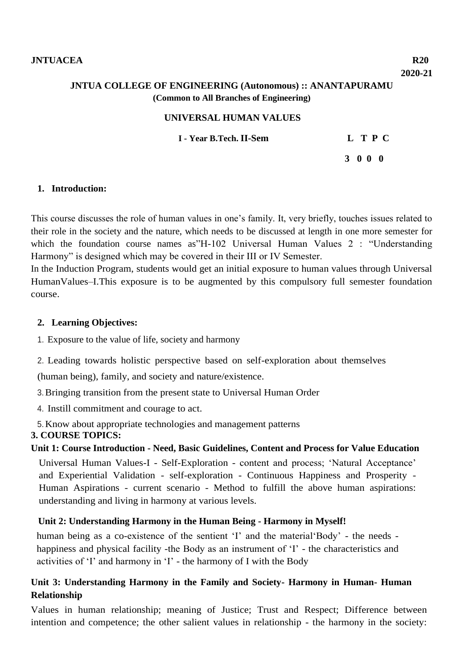# **JNTUA COLLEGE OF ENGINEERING (Autonomous) :: ANANTAPURAMU (Common to All Branches of Engineering)**

## **UNIVERSAL HUMAN VALUES**

 **I - Year B.Tech. II-Sem L T P C**

 **3 0 0 0**

### **1. Introduction:**

This course discusses the role of human values in one's family. It, very briefly, touches issues related to their role in the society and the nature, which needs to be discussed at length in one more semester for which the foundation course names as H-102 Universal Human Values 2 : "Understanding Harmony" is designed which may be covered in their III or IV Semester.

In the Induction Program, students would get an initial exposure to human values through Universal HumanValues–I.This exposure is to be augmented by this compulsory full semester foundation course.

#### **2. Learning Objectives:**

1. Exposure to the value of life, society and harmony

2. Leading towards holistic perspective based on self-exploration about themselves

(human being), family, and society and nature/existence.

3.Bringing transition from the present state to Universal Human Order

4. Instill commitment and courage to act.

5.Know about appropriate technologies and management patterns

# **3. COURSE TOPICS:**

# **Unit 1: Course Introduction - Need, Basic Guidelines, Content and Process for Value Education**

Universal Human Values-I - Self-Exploration - content and process; 'Natural Acceptance' and Experiential Validation - self-exploration - Continuous Happiness and Prosperity - Human Aspirations - current scenario - Method to fulfill the above human aspirations: understanding and living in harmony at various levels.

# **Unit 2: Understanding Harmony in the Human Being - Harmony in Myself!**

human being as a co-existence of the sentient 'I' and the material Body' - the needs happiness and physical facility -the Body as an instrument of 'I' - the characteristics and activities of 'I' and harmony in 'I' - the harmony of I with the Body

# **Unit 3: Understanding Harmony in the Family and Society- Harmony in Human- Human Relationship**

Values in human relationship; meaning of Justice; Trust and Respect; Difference between intention and competence; the other salient values in relationship - the harmony in the society: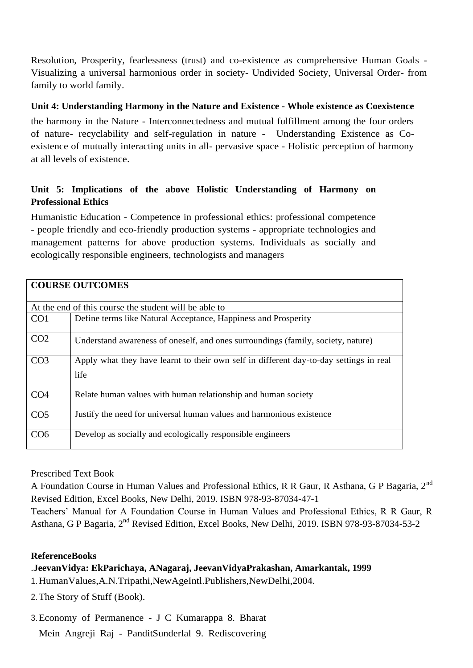Resolution, Prosperity, fearlessness (trust) and co-existence as comprehensive Human Goals - Visualizing a universal harmonious order in society- Undivided Society, Universal Order- from family to world family.

# **Unit 4: Understanding Harmony in the Nature and Existence - Whole existence as Coexistence**

the harmony in the Nature - Interconnectedness and mutual fulfillment among the four orders of nature- recyclability and self-regulation in nature - Understanding Existence as Coexistence of mutually interacting units in all- pervasive space - Holistic perception of harmony at all levels of existence.

# **Unit 5: Implications of the above Holistic Understanding of Harmony on Professional Ethics**

Humanistic Education - Competence in professional ethics: professional competence - people friendly and eco-friendly production systems - appropriate technologies and management patterns for above production systems. Individuals as socially and ecologically responsible engineers, technologists and managers

|                 | <b>COURSE OUTCOMES</b>                                                                         |
|-----------------|------------------------------------------------------------------------------------------------|
|                 | At the end of this course the student will be able to                                          |
| CO <sub>1</sub> | Define terms like Natural Acceptance, Happiness and Prosperity                                 |
| CO <sub>2</sub> | Understand awareness of oneself, and ones surroundings (family, society, nature)               |
| CO <sub>3</sub> | Apply what they have learnt to their own self in different day-to-day settings in real<br>life |
| CO <sub>4</sub> | Relate human values with human relationship and human society                                  |
| CO <sub>5</sub> | Justify the need for universal human values and harmonious existence                           |
| CO <sub>6</sub> | Develop as socially and ecologically responsible engineers                                     |

Prescribed Text Book

A Foundation Course in Human Values and Professional Ethics, R R Gaur, R Asthana, G P Bagaria, 2nd Revised Edition, Excel Books, New Delhi, 2019. ISBN 978-93-87034-47-1

Teachers' Manual for A Foundation Course in Human Values and Professional Ethics, R R Gaur, R Asthana, G P Bagaria, 2nd Revised Edition, Excel Books, New Delhi, 2019. ISBN 978-93-87034-53-2

# **ReferenceBooks**

# .**JeevanVidya: EkParichaya, ANagaraj, JeevanVidyaPrakashan, Amarkantak, 1999** 1.HumanValues,A.N.Tripathi,NewAgeIntl.Publishers,NewDelhi,2004.

2.The Story of Stuff (Book).

3.Economy of Permanence - J C Kumarappa 8. Bharat

Mein Angreji Raj - PanditSunderlal 9. Rediscovering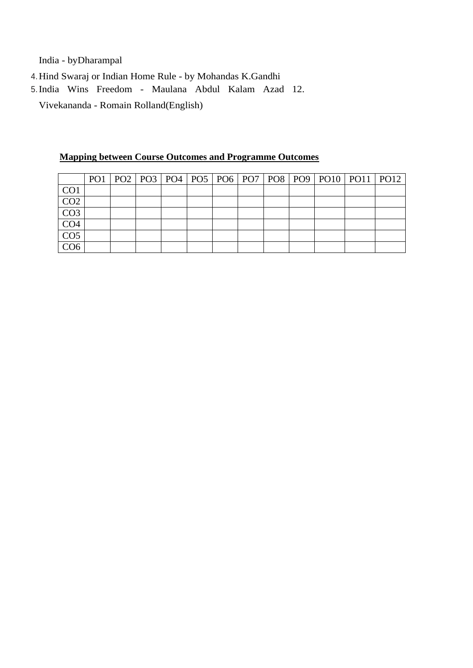India - byDharampal

4.Hind Swaraj or Indian Home Rule - by Mohandas K.Gandhi

5.India Wins Freedom - Maulana Abdul Kalam Azad 12. Vivekananda - Romain Rolland(English)

|                  |  |  |  |  |  | PO1   PO2   PO3   PO4   PO5   PO6   PO7   PO8   PO9   PO10   PO11   PO12 |  |
|------------------|--|--|--|--|--|--------------------------------------------------------------------------|--|
| CO <sub>1</sub>  |  |  |  |  |  |                                                                          |  |
| CO <sub>2</sub>  |  |  |  |  |  |                                                                          |  |
| $\overline{CO3}$ |  |  |  |  |  |                                                                          |  |
| CO <sub>4</sub>  |  |  |  |  |  |                                                                          |  |
| CO <sub>5</sub>  |  |  |  |  |  |                                                                          |  |
| CO <sub>6</sub>  |  |  |  |  |  |                                                                          |  |